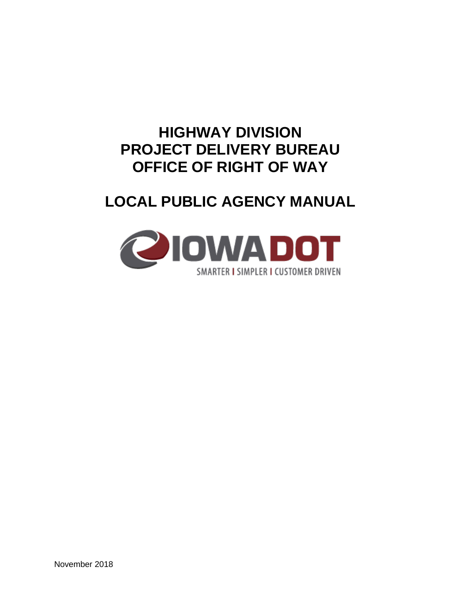# **HIGHWAY DIVISION PROJECT DELIVERY BUREAU OFFICE OF RIGHT OF WAY**

# **LOCAL PUBLIC AGENCY MANUAL**

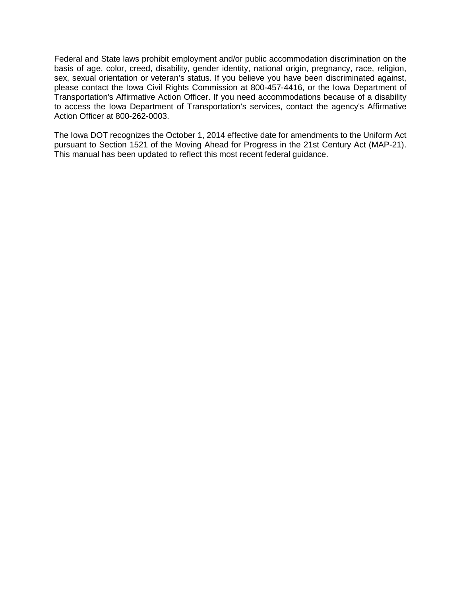Federal and State laws prohibit employment and/or public accommodation discrimination on the basis of age, color, creed, disability, gender identity, national origin, pregnancy, race, religion, sex, sexual orientation or veteran's status. If you believe you have been discriminated against, please contact the Iowa Civil Rights Commission at 800-457-4416, or the Iowa Department of Transportation's Affirmative Action Officer. If you need accommodations because of a disability to access the Iowa Department of Transportation's services, contact the agency's Affirmative Action Officer at 800-262-0003.

The Iowa DOT recognizes the October 1, 2014 effective date for amendments to the Uniform Act pursuant to Section 1521 of the Moving Ahead for Progress in the 21st Century Act (MAP-21). This manual has been updated to reflect this most recent federal guidance.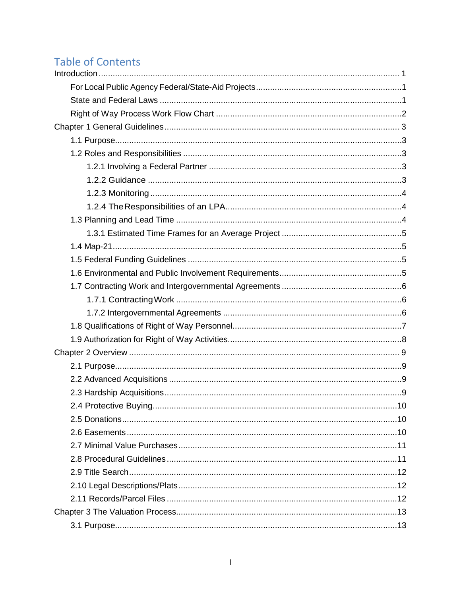# **Table of Contents**

| 2.4 Protective Buying. | 10 |
|------------------------|----|
|                        |    |
|                        |    |
|                        |    |
|                        |    |
|                        |    |
|                        |    |
|                        |    |
|                        |    |
|                        |    |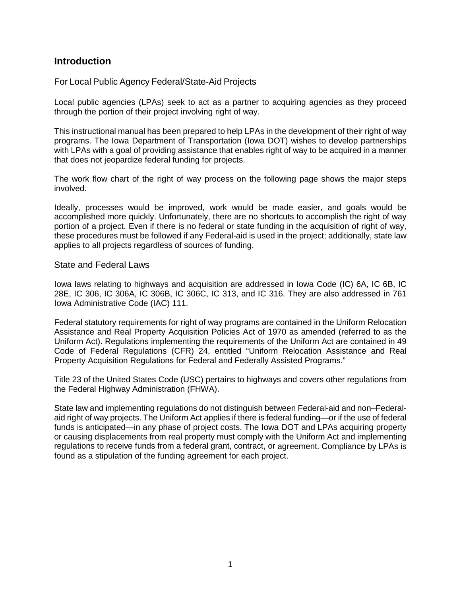## **Introduction**

## For Local Public Agency Federal/State-Aid Projects

Local public agencies (LPAs) seek to act as a partner to acquiring agencies as they proceed through the portion of their project involving right of way.

This instructional manual has been prepared to help LPAs in the development of their right of way programs. The Iowa Department of Transportation (Iowa DOT) wishes to develop partnerships with LPAs with a goal of providing assistance that enables right of way to be acquired in a manner that does not jeopardize federal funding for projects.

The work flow chart of the right of way process on the following page shows the major steps involved.

Ideally, processes would be improved, work would be made easier, and goals would be accomplished more quickly. Unfortunately, there are no shortcuts to accomplish the right of way portion of a project. Even if there is no federal or state funding in the acquisition of right of way, these procedures must be followed if any Federal-aid is used in the project; additionally, state law applies to all projects regardless of sources of funding.

#### State and Federal Laws

Iowa laws relating to highways and acquisition are addressed in Iowa Code (IC) 6A, IC 6B, IC 28E, IC 306, IC 306A, IC 306B, IC 306C, IC 313, and IC 316. They are also addressed in 761 Iowa Administrative Code (IAC) 111.

Federal statutory requirements for right of way programs are contained in the Uniform Relocation Assistance and Real Property Acquisition Policies Act of 1970 as amended (referred to as the Uniform Act). Regulations implementing the requirements of the Uniform Act are contained in 49 Code of Federal Regulations (CFR) 24, entitled "Uniform Relocation Assistance and Real Property Acquisition Regulations for Federal and Federally Assisted Programs."

Title 23 of the United States Code (USC) pertains to highways and covers other regulations from the Federal Highway Administration (FHWA).

State law and implementing regulations do not distinguish between Federal-aid and non–Federalaid right of way projects. The Uniform Act applies if there is federal funding—or if the use of federal funds is anticipated—in any phase of project costs. The Iowa DOT and LPAs acquiring property or causing displacements from real property must comply with the Uniform Act and implementing regulations to receive funds from a federal grant, contract, or agreement. Compliance by LPAs is found as a stipulation of the funding agreement for each project.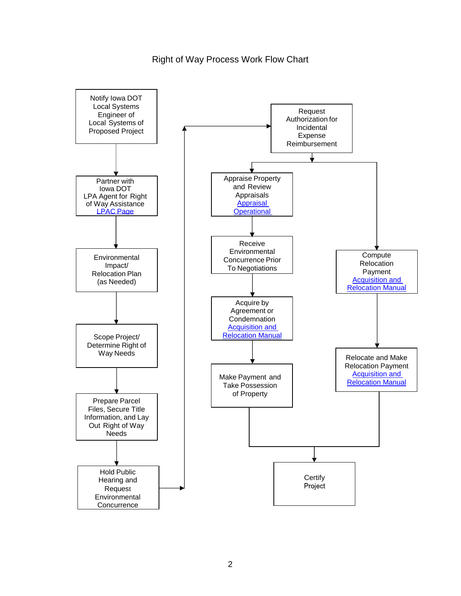Right of Way Process Work Flow Chart

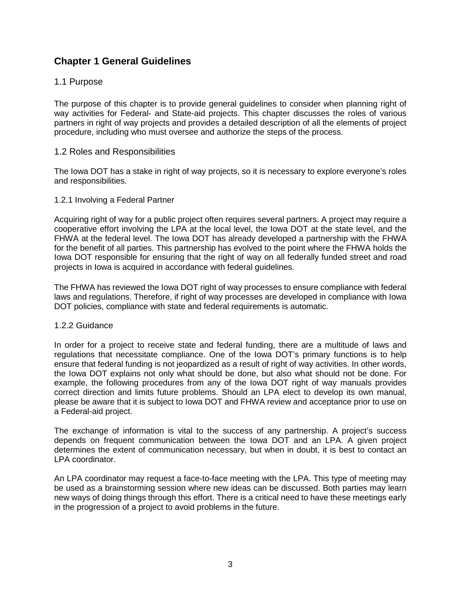# **Chapter 1 General Guidelines**

## 1.1 Purpose

The purpose of this chapter is to provide general guidelines to consider when planning right of way activities for Federal- and State-aid projects. This chapter discusses the roles of various partners in right of way projects and provides a detailed description of all the elements of project procedure, including who must oversee and authorize the steps of the process.

#### 1.2 Roles and Responsibilities

The Iowa DOT has a stake in right of way projects, so it is necessary to explore everyone's roles and responsibilities.

#### 1.2.1 Involving a Federal Partner

Acquiring right of way for a public project often requires several partners. A project may require a cooperative effort involving the LPA at the local level, the Iowa DOT at the state level, and the FHWA at the federal level. The Iowa DOT has already developed a partnership with the FHWA for the benefit of all parties. This partnership has evolved to the point where the FHWA holds the Iowa DOT responsible for ensuring that the right of way on all federally funded street and road projects in Iowa is acquired in accordance with federal guidelines.

The FHWA has reviewed the Iowa DOT right of way processes to ensure compliance with federal laws and regulations. Therefore, if right of way processes are developed in compliance with Iowa DOT policies, compliance with state and federal requirements is automatic.

#### 1.2.2 Guidance

In order for a project to receive state and federal funding, there are a multitude of laws and regulations that necessitate compliance. One of the Iowa DOT's primary functions is to help ensure that federal funding is not jeopardized as a result of right of way activities. In other words, the Iowa DOT explains not only what should be done, but also what should not be done. For example, the following procedures from any of the Iowa DOT right of way manuals provides correct direction and limits future problems. Should an LPA elect to develop its own manual, please be aware that it is subject to Iowa DOT and FHWA review and acceptance prior to use on a Federal-aid project.

The exchange of information is vital to the success of any partnership. A project's success depends on frequent communication between the Iowa DOT and an LPA. A given project determines the extent of communication necessary, but when in doubt, it is best to contact an LPA coordinator.

An LPA coordinator may request a face-to-face meeting with the LPA. This type of meeting may be used as a brainstorming session where new ideas can be discussed. Both parties may learn new ways of doing things through this effort. There is a critical need to have these meetings early in the progression of a project to avoid problems in the future.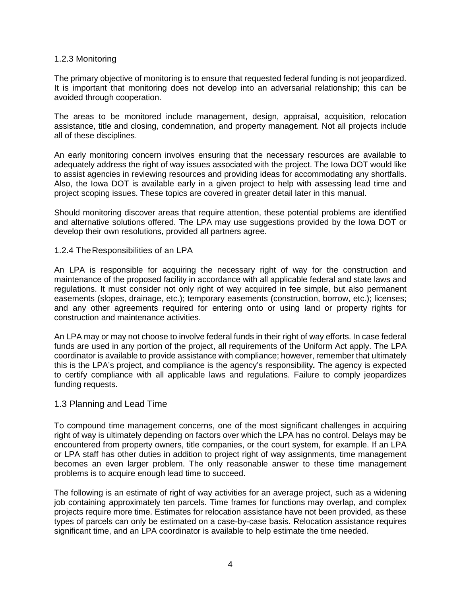#### 1.2.3 Monitoring

The primary objective of monitoring is to ensure that requested federal funding is not jeopardized. It is important that monitoring does not develop into an adversarial relationship; this can be avoided through cooperation.

The areas to be monitored include management, design, appraisal, acquisition, relocation assistance, title and closing, condemnation, and property management. Not all projects include all of these disciplines.

An early monitoring concern involves ensuring that the necessary resources are available to adequately address the right of way issues associated with the project. The Iowa DOT would like to assist agencies in reviewing resources and providing ideas for accommodating any shortfalls. Also, the Iowa DOT is available early in a given project to help with assessing lead time and project scoping issues. These topics are covered in greater detail later in this manual.

Should monitoring discover areas that require attention, these potential problems are identified and alternative solutions offered. The LPA may use suggestions provided by the Iowa DOT or develop their own resolutions, provided all partners agree.

#### 1.2.4 TheResponsibilities of an LPA

An LPA is responsible for acquiring the necessary right of way for the construction and maintenance of the proposed facility in accordance with all applicable federal and state laws and regulations. It must consider not only right of way acquired in fee simple, but also permanent easements (slopes, drainage, etc.); temporary easements (construction, borrow, etc.); licenses; and any other agreements required for entering onto or using land or property rights for construction and maintenance activities.

An LPA may or may not choose to involve federal funds in their right of way efforts. In case federal funds are used in any portion of the project, all requirements of the Uniform Act apply. The LPA coordinator is available to provide assistance with compliance; however, remember that ultimately this is the LPA's project, and compliance is the agency's responsibility*.* The agency is expected to certify compliance with all applicable laws and regulations. Failure to comply jeopardizes funding requests.

## 1.3 Planning and Lead Time

To compound time management concerns, one of the most significant challenges in acquiring right of way is ultimately depending on factors over which the LPA has no control. Delays may be encountered from property owners, title companies, or the court system, for example. If an LPA or LPA staff has other duties in addition to project right of way assignments, time management becomes an even larger problem. The only reasonable answer to these time management problems is to acquire enough lead time to succeed.

The following is an estimate of right of way activities for an average project, such as a widening job containing approximately ten parcels. Time frames for functions may overlap, and complex projects require more time. Estimates for relocation assistance have not been provided, as these types of parcels can only be estimated on a case-by-case basis. Relocation assistance requires significant time, and an LPA coordinator is available to help estimate the time needed.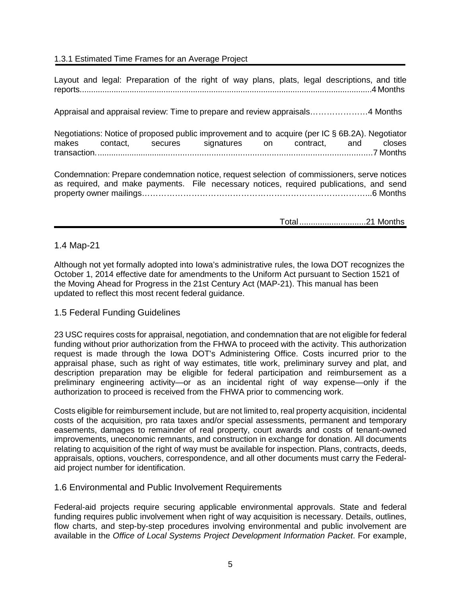## 1.3.1 Estimated Time Frames for an Average Project

Layout and legal: Preparation of the right of way plans, plats, legal descriptions, and title reports.................................................................................................................................4 Months

Appraisal and appraisal review: Time to prepare and review appraisals…………………4 Months

Negotiations: Notice of proposed public improvement and to acquire (per IC § 6B.2A). Negotiator makes contact, secures signatures on contract, and closes transaction.....................................................................................................................7 Months

Condemnation: Prepare condemnation notice, request selection of commissioners, serve notices as required, and make payments. File necessary notices, required publications, and send property owner mailings………………………………………………………………………...6 Months

Total.............................21 Months

## 1.4 Map-21

Although not yet formally adopted into Iowa's administrative rules, the Iowa DOT recognizes the October 1, 2014 effective date for amendments to the Uniform Act pursuant to Section 1521 of the Moving Ahead for Progress in the 21st Century Act (MAP-21). This manual has been updated to reflect this most recent federal guidance.

## 1.5 Federal Funding Guidelines

23 USC requires costs for appraisal, negotiation, and condemnation that are not eligible for federal funding without prior authorization from the FHWA to proceed with the activity. This authorization request is made through the Iowa DOT's Administering Office. Costs incurred prior to the appraisal phase, such as right of way estimates, title work, preliminary survey and plat, and description preparation may be eligible for federal participation and reimbursement as a preliminary engineering activity—or as an incidental right of way expense—only if the authorization to proceed is received from the FHWA prior to commencing work.

Costs eligible for reimbursement include, but are not limited to, real property acquisition, incidental costs of the acquisition, pro rata taxes and/or special assessments, permanent and temporary easements, damages to remainder of real property, court awards and costs of tenant-owned improvements, uneconomic remnants, and construction in exchange for donation. All documents relating to acquisition of the right of way must be available for inspection. Plans, contracts, deeds, appraisals, options, vouchers, correspondence, and all other documents must carry the Federalaid project number for identification.

## 1.6 Environmental and Public Involvement Requirements

Federal-aid projects require securing applicable environmental approvals. State and federal funding requires public involvement when right of way acquisition is necessary. Details, outlines, flow charts, and step-by-step procedures involving environmental and public involvement are available in the *Office of Local Systems Project Development Information Packet*. For example,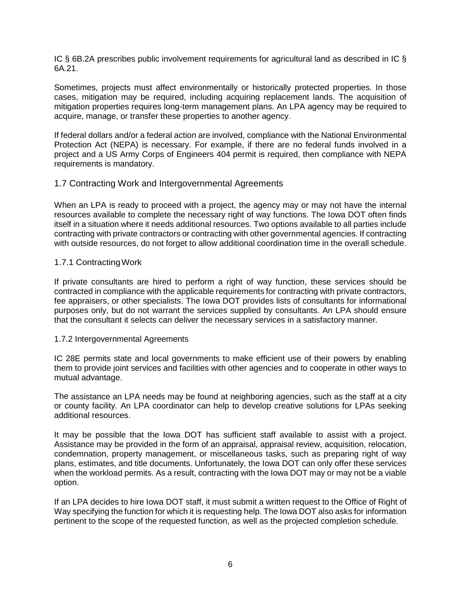IC § 6B.2A prescribes public involvement requirements for agricultural land as described in IC § 6A.21.

Sometimes, projects must affect environmentally or historically protected properties. In those cases, mitigation may be required, including acquiring replacement lands. The acquisition of mitigation properties requires long-term management plans. An LPA agency may be required to acquire, manage, or transfer these properties to another agency.

If federal dollars and/or a federal action are involved, compliance with the National Environmental Protection Act (NEPA) is necessary. For example, if there are no federal funds involved in a project and a US Army Corps of Engineers 404 permit is required, then compliance with NEPA requirements is mandatory.

## 1.7 Contracting Work and Intergovernmental Agreements

When an LPA is ready to proceed with a project, the agency may or may not have the internal resources available to complete the necessary right of way functions. The Iowa DOT often finds itself in a situation where it needs additional resources. Two options available to all parties include contracting with private contractors or contracting with other governmental agencies. If contracting with outside resources, do not forget to allow additional coordination time in the overall schedule.

## 1.7.1 ContractingWork

If private consultants are hired to perform a right of way function, these services should be contracted in compliance with the applicable requirements for contracting with private contractors, fee appraisers, or other specialists. The Iowa DOT provides lists of consultants for informational purposes only, but do not warrant the services supplied by consultants. An LPA should ensure that the consultant it selects can deliver the necessary services in a satisfactory manner.

## 1.7.2 Intergovernmental Agreements

IC 28E permits state and local governments to make efficient use of their powers by enabling them to provide joint services and facilities with other agencies and to cooperate in other ways to mutual advantage.

The assistance an LPA needs may be found at neighboring agencies, such as the staff at a city or county facility. An LPA coordinator can help to develop creative solutions for LPAs seeking additional resources.

It may be possible that the Iowa DOT has sufficient staff available to assist with a project. Assistance may be provided in the form of an appraisal, appraisal review, acquisition, relocation, condemnation, property management, or miscellaneous tasks, such as preparing right of way plans, estimates, and title documents. Unfortunately, the Iowa DOT can only offer these services when the workload permits. As a result, contracting with the Iowa DOT may or may not be a viable option.

If an LPA decides to hire Iowa DOT staff, it must submit a written request to the Office of Right of Way specifying the function for which it is requesting help. The Iowa DOT also asks for information pertinent to the scope of the requested function, as well as the projected completion schedule.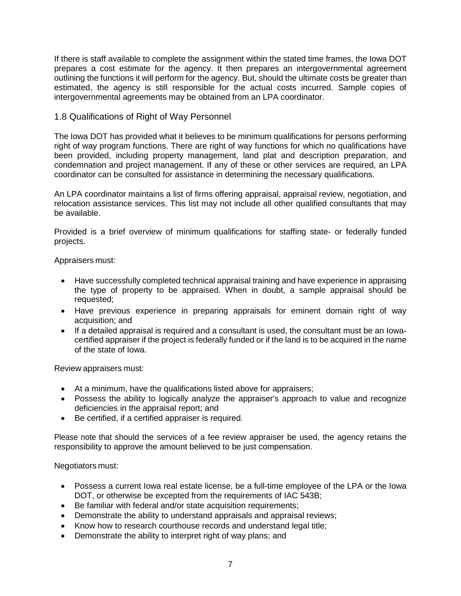If there is staff available to complete the assignment within the stated time frames, the Iowa DOT prepares a cost estimate for the agency. It then prepares an intergovernmental agreement outlining the functions it will perform for the agency. But, should the ultimate costs be greater than estimated, the agency is still responsible for the actual costs incurred. Sample copies of intergovernmental agreements may be obtained from an LPA coordinator.

## 1.8 Qualifications of Right of Way Personnel

The Iowa DOT has provided what it believes to be minimum qualifications for persons performing right of way program functions. There are right of way functions for which no qualifications have been provided, including property management, land plat and description preparation, and condemnation and project management. If any of these or other services are required, an LPA coordinator can be consulted for assistance in determining the necessary qualifications.

An LPA coordinator maintains a list of firms offering appraisal, appraisal review, negotiation, and relocation assistance services. This list may not include all other qualified consultants that may be available.

Provided is a brief overview of minimum qualifications for staffing state- or federally funded projects.

Appraisers must:

- Have successfully completed technical appraisal training and have experience in appraising the type of property to be appraised. When in doubt, a sample appraisal should be requested;
- Have previous experience in preparing appraisals for eminent domain right of way acquisition; and
- If a detailed appraisal is required and a consultant is used, the consultant must be an Iowacertified appraiser if the project is federally funded or if the land is to be acquired in the name of the state of Iowa.

Review appraisers must:

- At a minimum, have the qualifications listed above for appraisers;
- Possess the ability to logically analyze the appraiser's approach to value and recognize deficiencies in the appraisal report; and
- Be certified, if a certified appraiser is required.

Please note that should the services of a fee review appraiser be used, the agency retains the responsibility to approve the amount believed to be just compensation.

Negotiators must:

- Possess a current lowa real estate license, be a full-time employee of the LPA or the lowa DOT, or otherwise be excepted from the requirements of IAC 543B;
- Be familiar with federal and/or state acquisition requirements;
- Demonstrate the ability to understand appraisals and appraisal reviews;
- Know how to research courthouse records and understand legal title;
- Demonstrate the ability to interpret right of way plans; and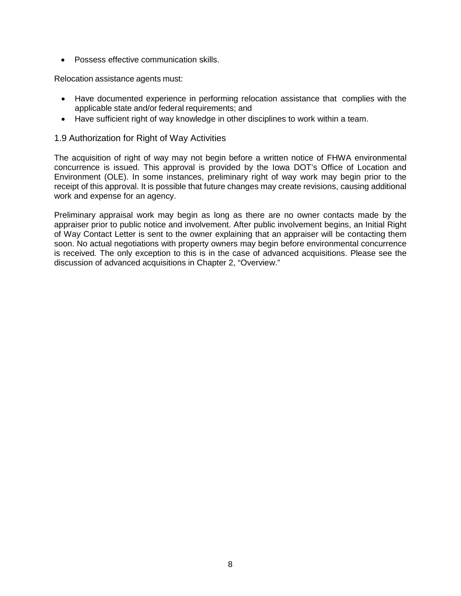• Possess effective communication skills.

Relocation assistance agents must:

- Have documented experience in performing relocation assistance that complies with the applicable state and/or federal requirements; and
- Have sufficient right of way knowledge in other disciplines to work within a team.

## 1.9 Authorization for Right of Way Activities

The acquisition of right of way may not begin before a written notice of FHWA environmental concurrence is issued. This approval is provided by the Iowa DOT's Office of Location and Environment (OLE). In some instances, preliminary right of way work may begin prior to the receipt of this approval. It is possible that future changes may create revisions, causing additional work and expense for an agency.

Preliminary appraisal work may begin as long as there are no owner contacts made by the appraiser prior to public notice and involvement. After public involvement begins, an Initial Right of Way Contact Letter is sent to the owner explaining that an appraiser will be contacting them soon. No actual negotiations with property owners may begin before environmental concurrence is received*.* The only exception to this is in the case of advanced acquisitions. Please see the discussion of advanced acquisitions in Chapter 2, "Overview."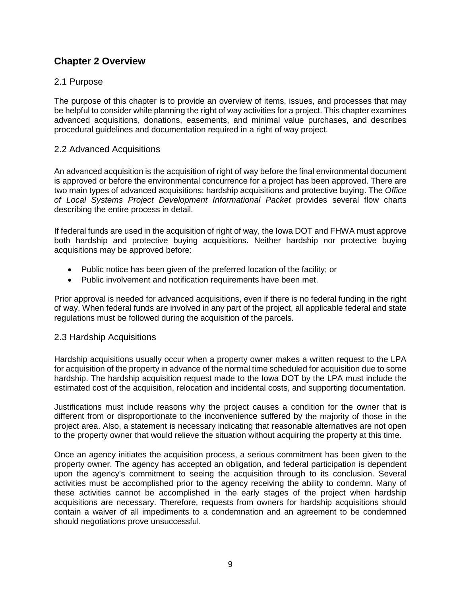# **Chapter 2 Overview**

## 2.1 Purpose

The purpose of this chapter is to provide an overview of items, issues, and processes that may be helpful to consider while planning the right of way activities for a project. This chapter examines advanced acquisitions, donations, easements, and minimal value purchases, and describes procedural guidelines and documentation required in a right of way project.

## 2.2 Advanced Acquisitions

An advanced acquisition is the acquisition of right of way before the final environmental document is approved or before the environmental concurrence for a project has been approved. There are two main types of advanced acquisitions: hardship acquisitions and protective buying. The *Office of Local Systems Project Development Informational Packet* provides several flow charts describing the entire process in detail.

If federal funds are used in the acquisition of right of way, the Iowa DOT and FHWA must approve both hardship and protective buying acquisitions. Neither hardship nor protective buying acquisitions may be approved before:

- Public notice has been given of the preferred location of the facility; or
- Public involvement and notification requirements have been met.

Prior approval is needed for advanced acquisitions, even if there is no federal funding in the right of way. When federal funds are involved in any part of the project, all applicable federal and state regulations must be followed during the acquisition of the parcels.

## 2.3 Hardship Acquisitions

Hardship acquisitions usually occur when a property owner makes a written request to the LPA for acquisition of the property in advance of the normal time scheduled for acquisition due to some hardship. The hardship acquisition request made to the Iowa DOT by the LPA must include the estimated cost of the acquisition, relocation and incidental costs, and supporting documentation.

Justifications must include reasons why the project causes a condition for the owner that is different from or disproportionate to the inconvenience suffered by the majority of those in the project area. Also, a statement is necessary indicating that reasonable alternatives are not open to the property owner that would relieve the situation without acquiring the property at this time.

Once an agency initiates the acquisition process, a serious commitment has been given to the property owner. The agency has accepted an obligation, and federal participation is dependent upon the agency's commitment to seeing the acquisition through to its conclusion. Several activities must be accomplished prior to the agency receiving the ability to condemn. Many of these activities cannot be accomplished in the early stages of the project when hardship acquisitions are necessary. Therefore, requests from owners for hardship acquisitions should contain a waiver of all impediments to a condemnation and an agreement to be condemned should negotiations prove unsuccessful.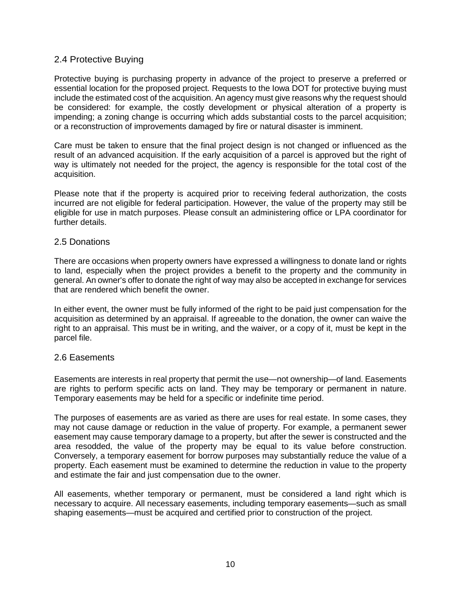## 2.4 Protective Buying

Protective buying is purchasing property in advance of the project to preserve a preferred or essential location for the proposed project. Requests to the Iowa DOT for protective buying must include the estimated cost of the acquisition. An agency must give reasons why the request should be considered: for example, the costly development or physical alteration of a property is impending; a zoning change is occurring which adds substantial costs to the parcel acquisition; or a reconstruction of improvements damaged by fire or natural disaster is imminent.

Care must be taken to ensure that the final project design is not changed or influenced as the result of an advanced acquisition. If the early acquisition of a parcel is approved but the right of way is ultimately not needed for the project, the agency is responsible for the total cost of the acquisition.

Please note that if the property is acquired prior to receiving federal authorization, the costs incurred are not eligible for federal participation. However, the value of the property may still be eligible for use in match purposes. Please consult an administering office or LPA coordinator for further details.

## 2.5 Donations

There are occasions when property owners have expressed a willingness to donate land or rights to land, especially when the project provides a benefit to the property and the community in general. An owner's offer to donate the right of way may also be accepted in exchange for services that are rendered which benefit the owner.

In either event, the owner must be fully informed of the right to be paid just compensation for the acquisition as determined by an appraisal. If agreeable to the donation, the owner can waive the right to an appraisal. This must be in writing, and the waiver, or a copy of it, must be kept in the parcel file.

## 2.6 Easements

Easements are interests in real property that permit the use—not ownership—of land. Easements are rights to perform specific acts on land. They may be temporary or permanent in nature. Temporary easements may be held for a specific or indefinite time period.

The purposes of easements are as varied as there are uses for real estate. In some cases, they may not cause damage or reduction in the value of property. For example, a permanent sewer easement may cause temporary damage to a property, but after the sewer is constructed and the area resodded, the value of the property may be equal to its value before construction. Conversely, a temporary easement for borrow purposes may substantially reduce the value of a property. Each easement must be examined to determine the reduction in value to the property and estimate the fair and just compensation due to the owner.

All easements, whether temporary or permanent, must be considered a land right which is necessary to acquire. All necessary easements, including temporary easements—such as small shaping easements—must be acquired and certified prior to construction of the project.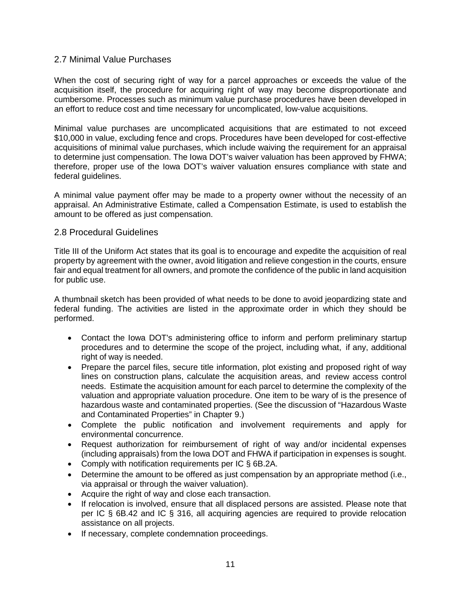## 2.7 Minimal Value Purchases

When the cost of securing right of way for a parcel approaches or exceeds the value of the acquisition itself, the procedure for acquiring right of way may become disproportionate and cumbersome. Processes such as minimum value purchase procedures have been developed in an effort to reduce cost and time necessary for uncomplicated, low-value acquisitions.

Minimal value purchases are uncomplicated acquisitions that are estimated to not exceed \$10,000 in value, excluding fence and crops. Procedures have been developed for cost-effective acquisitions of minimal value purchases, which include waiving the requirement for an appraisal to determine just compensation. The Iowa DOT's waiver valuation has been approved by FHWA; therefore, proper use of the Iowa DOT's waiver valuation ensures compliance with state and federal guidelines.

A minimal value payment offer may be made to a property owner without the necessity of an appraisal. An Administrative Estimate, called a Compensation Estimate, is used to establish the amount to be offered as just compensation.

## 2.8 Procedural Guidelines

Title III of the Uniform Act states that its goal is to encourage and expedite the acquisition of real property by agreement with the owner, avoid litigation and relieve congestion in the courts, ensure fair and equal treatment for all owners, and promote the confidence of the public in land acquisition for public use.

A thumbnail sketch has been provided of what needs to be done to avoid jeopardizing state and federal funding. The activities are listed in the approximate order in which they should be performed.

- Contact the Iowa DOT's administering office to inform and perform preliminary startup procedures and to determine the scope of the project, including what, if any, additional right of way is needed.
- Prepare the parcel files, secure title information, plot existing and proposed right of way lines on construction plans, calculate the acquisition areas, and review access control needs. Estimate the acquisition amount for each parcel to determine the complexity of the valuation and appropriate valuation procedure. One item to be wary of is the presence of hazardous waste and contaminated properties. (See the discussion of "Hazardous Waste and Contaminated Properties" in Chapter 9.)
- Complete the public notification and involvement requirements and apply for environmental concurrence.
- Request authorization for reimbursement of right of way and/or incidental expenses (including appraisals) from the Iowa DOT and FHWA if participation in expenses is sought.
- Comply with notification requirements per IC § 6B.2A.
- Determine the amount to be offered as just compensation by an appropriate method (i.e., via appraisal or through the waiver valuation).
- Acquire the right of way and close each transaction.
- If relocation is involved, ensure that all displaced persons are assisted. Please note that per IC § 6B.42 and IC § 316, all acquiring agencies are required to provide relocation assistance on all projects.
- If necessary, complete condemnation proceedings.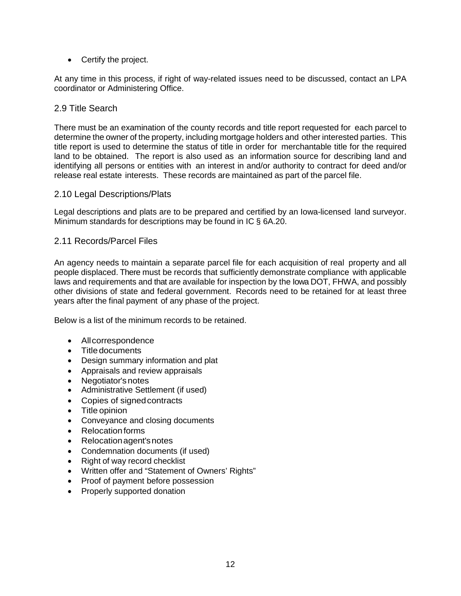• Certify the project.

At any time in this process, if right of way-related issues need to be discussed, contact an LPA coordinator or Administering Office.

## 2.9 Title Search

There must be an examination of the county records and title report requested for each parcel to determine the owner of the property, including mortgage holders and other interested parties. This title report is used to determine the status of title in order for merchantable title for the required land to be obtained. The report is also used as an information source for describing land and identifying all persons or entities with an interest in and/or authority to contract for deed and/or release real estate interests. These records are maintained as part of the parcel file.

#### 2.10 Legal Descriptions/Plats

Legal descriptions and plats are to be prepared and certified by an Iowa-licensed land surveyor. Minimum standards for descriptions may be found in IC § 6A.20.

#### 2.11 Records/Parcel Files

An agency needs to maintain a separate parcel file for each acquisition of real property and all people displaced. There must be records that sufficiently demonstrate compliance with applicable laws and requirements and that are available for inspection by the Iowa DOT, FHWA, and possibly other divisions of state and federal government. Records need to be retained for at least three years after the final payment of any phase of the project.

Below is a list of the minimum records to be retained.

- Allcorrespondence
- Title documents
- Design summary information and plat
- Appraisals and review appraisals
- Negotiator's notes
- Administrative Settlement (if used)
- Copies of signedcontracts
- Title opinion
- Conveyance and closing documents
- Relocation forms
- Relocation agent's notes
- Condemnation documents (if used)
- Right of way record checklist
- Written offer and "Statement of Owners' Rights"
- Proof of payment before possession
- Properly supported donation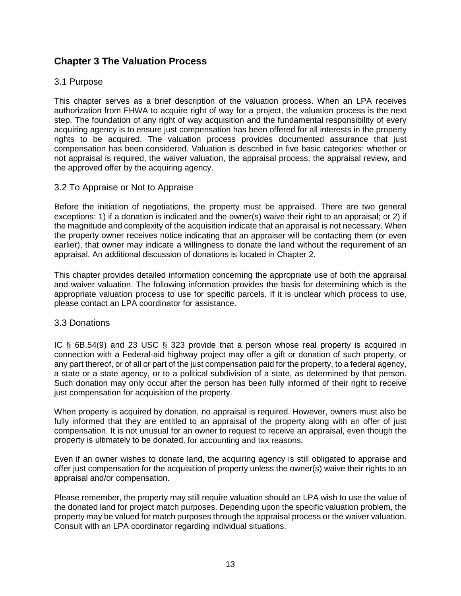# **Chapter 3 The Valuation Process**

## 3.1 Purpose

This chapter serves as a brief description of the valuation process. When an LPA receives authorization from FHWA to acquire right of way for a project, the valuation process is the next step. The foundation of any right of way acquisition and the fundamental responsibility of every acquiring agency is to ensure just compensation has been offered for all interests in the property rights to be acquired. The valuation process provides documented assurance that just compensation has been considered. Valuation is described in five basic categories: whether or not appraisal is required, the waiver valuation, the appraisal process, the appraisal review, and the approved offer by the acquiring agency.

## 3.2 To Appraise or Not to Appraise

Before the initiation of negotiations, the property must be appraised. There are two general exceptions: 1) if a donation is indicated and the owner(s) waive their right to an appraisal; or 2) if the magnitude and complexity of the acquisition indicate that an appraisal is not necessary. When the property owner receives notice indicating that an appraiser will be contacting them (or even earlier), that owner may indicate a willingness to donate the land without the requirement of an appraisal. An additional discussion of donations is located in Chapter 2.

This chapter provides detailed information concerning the appropriate use of both the appraisal and waiver valuation. The following information provides the basis for determining which is the appropriate valuation process to use for specific parcels. If it is unclear which process to use, please contact an LPA coordinator for assistance.

## 3.3 Donations

IC § 6B.54(9) and 23 USC § 323 provide that a person whose real property is acquired in connection with a Federal-aid highway project may offer a gift or donation of such property, or any part thereof, or of all or part of the just compensation paid for the property, to a federal agency, a state or a state agency, or to a political subdivision of a state, as determined by that person. Such donation may only occur after the person has been fully informed of their right to receive just compensation for acquisition of the property.

When property is acquired by donation, no appraisal is required. However, owners must also be fully informed that they are entitled to an appraisal of the property along with an offer of just compensation. It is not unusual for an owner to request to receive an appraisal, even though the property is ultimately to be donated, for accounting and tax reasons.

Even if an owner wishes to donate land, the acquiring agency is still obligated to appraise and offer just compensation for the acquisition of property unless the owner(s) waive their rights to an appraisal and/or compensation.

Please remember, the property may still require valuation should an LPA wish to use the value of the donated land for project match purposes. Depending upon the specific valuation problem, the property may be valued for match purposes through the appraisal process or the waiver valuation. Consult with an LPA coordinator regarding individual situations.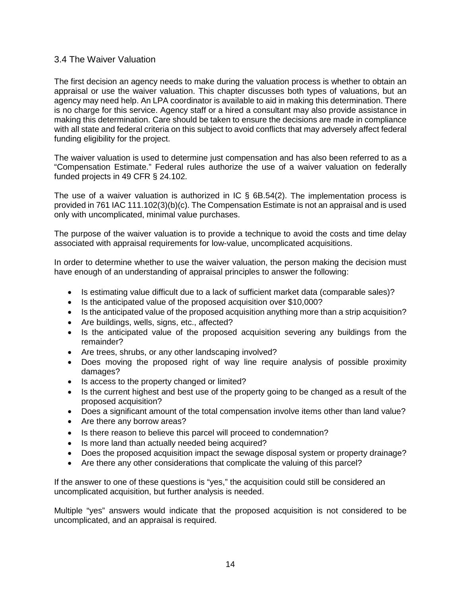## 3.4 The Waiver Valuation

The first decision an agency needs to make during the valuation process is whether to obtain an appraisal or use the waiver valuation. This chapter discusses both types of valuations, but an agency may need help. An LPA coordinator is available to aid in making this determination. There is no charge for this service. Agency staff or a hired a consultant may also provide assistance in making this determination. Care should be taken to ensure the decisions are made in compliance with all state and federal criteria on this subject to avoid conflicts that may adversely affect federal funding eligibility for the project.

The waiver valuation is used to determine just compensation and has also been referred to as a "Compensation Estimate." Federal rules authorize the use of a waiver valuation on federally funded projects in 49 CFR § 24.102.

The use of a waiver valuation is authorized in IC  $\S$  6B.54(2). The implementation process is provided in 761 IAC 111.102(3)(b)(c). The Compensation Estimate is not an appraisal and is used only with uncomplicated, minimal value purchases.

The purpose of the waiver valuation is to provide a technique to avoid the costs and time delay associated with appraisal requirements for low-value, uncomplicated acquisitions.

In order to determine whether to use the waiver valuation, the person making the decision must have enough of an understanding of appraisal principles to answer the following:

- Is estimating value difficult due to a lack of sufficient market data (comparable sales)?
- Is the anticipated value of the proposed acquisition over \$10,000?
- Is the anticipated value of the proposed acquisition anything more than a strip acquisition?
- Are buildings, wells, signs, etc., affected?
- Is the anticipated value of the proposed acquisition severing any buildings from the remainder?
- Are trees, shrubs, or any other landscaping involved?
- Does moving the proposed right of way line require analysis of possible proximity damages?
- Is access to the property changed or limited?
- Is the current highest and best use of the property going to be changed as a result of the proposed acquisition?
- Does a significant amount of the total compensation involve items other than land value?
- Are there any borrow areas?
- Is there reason to believe this parcel will proceed to condemnation?
- Is more land than actually needed being acquired?
- Does the proposed acquisition impact the sewage disposal system or property drainage?
- Are there any other considerations that complicate the valuing of this parcel?

If the answer to one of these questions is "yes," the acquisition could still be considered an uncomplicated acquisition, but further analysis is needed.

Multiple "yes" answers would indicate that the proposed acquisition is not considered to be uncomplicated, and an appraisal is required.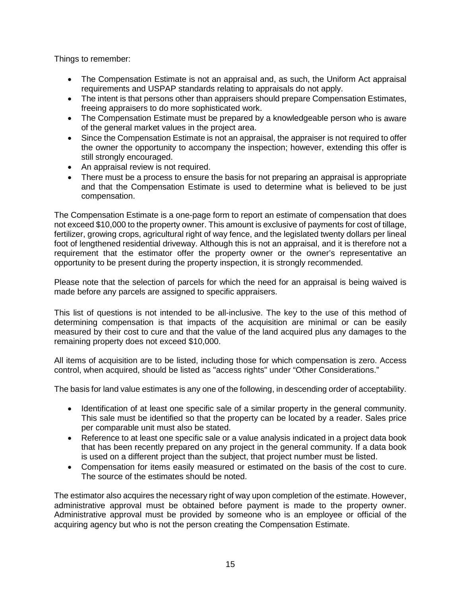Things to remember:

- The Compensation Estimate is not an appraisal and, as such, the Uniform Act appraisal requirements and USPAP standards relating to appraisals do not apply.
- The intent is that persons other than appraisers should prepare Compensation Estimates, freeing appraisers to do more sophisticated work.
- The Compensation Estimate must be prepared by a knowledgeable person who is aware of the general market values in the project area.
- Since the Compensation Estimate is not an appraisal, the appraiser is not required to offer the owner the opportunity to accompany the inspection; however, extending this offer is still strongly encouraged.
- An appraisal review is not required.
- There must be a process to ensure the basis for not preparing an appraisal is appropriate and that the Compensation Estimate is used to determine what is believed to be just compensation.

The Compensation Estimate is a one-page form to report an estimate of compensation that does not exceed \$10,000 to the property owner. This amount is exclusive of payments for cost of tillage, fertilizer, growing crops, agricultural right of way fence, and the legislated twenty dollars per lineal foot of lengthened residential driveway. Although this is not an appraisal, and it is therefore not a requirement that the estimator offer the property owner or the owner's representative an opportunity to be present during the property inspection, it is strongly recommended.

Please note that the selection of parcels for which the need for an appraisal is being waived is made before any parcels are assigned to specific appraisers.

This list of questions is not intended to be all-inclusive. The key to the use of this method of determining compensation is that impacts of the acquisition are minimal or can be easily measured by their cost to cure and that the value of the land acquired plus any damages to the remaining property does not exceed \$10,000.

All items of acquisition are to be listed, including those for which compensation is zero. Access control, when acquired, should be listed as "access rights" under "Other Considerations."

The basis for land value estimates is any one of the following, in descending order of acceptability.

- Identification of at least one specific sale of a similar property in the general community. This sale must be identified so that the property can be located by a reader. Sales price per comparable unit must also be stated.
- Reference to at least one specific sale or a value analysis indicated in a project data book that has been recently prepared on any project in the general community. If a data book is used on a different project than the subject, that project number must be listed.
- Compensation for items easily measured or estimated on the basis of the cost to cure. The source of the estimates should be noted.

The estimator also acquires the necessary right of way upon completion of the estimate. However, administrative approval must be obtained before payment is made to the property owner. Administrative approval must be provided by someone who is an employee or official of the acquiring agency but who is not the person creating the Compensation Estimate.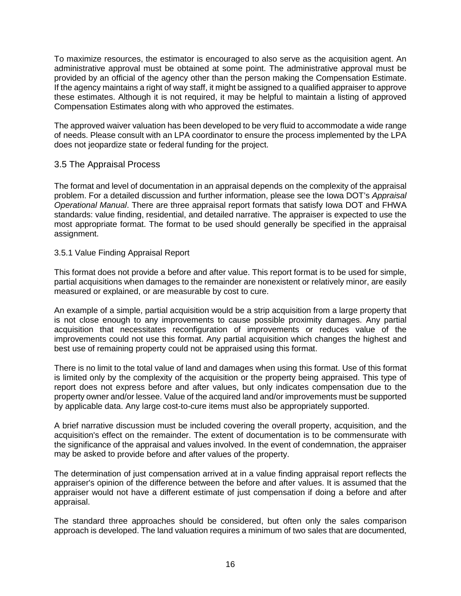To maximize resources, the estimator is encouraged to also serve as the acquisition agent. An administrative approval must be obtained at some point. The administrative approval must be provided by an official of the agency other than the person making the Compensation Estimate. If the agency maintains a right of way staff, it might be assigned to a qualified appraiser to approve these estimates. Although it is not required, it may be helpful to maintain a listing of approved Compensation Estimates along with who approved the estimates.

The approved waiver valuation has been developed to be very fluid to accommodate a wide range of needs. Please consult with an LPA coordinator to ensure the process implemented by the LPA does not jeopardize state or federal funding for the project.

## 3.5 The Appraisal Process

The format and level of documentation in an appraisal depends on the complexity of the appraisal problem. For a detailed discussion and further information, please see the Iowa DOT's *Appraisal Operational Manual*. There are three appraisal report formats that satisfy Iowa DOT and FHWA standards: value finding, residential, and detailed narrative. The appraiser is expected to use the most appropriate format. The format to be used should generally be specified in the appraisal assignment.

## 3.5.1 Value Finding Appraisal Report

This format does not provide a before and after value. This report format is to be used for simple, partial acquisitions when damages to the remainder are nonexistent or relatively minor, are easily measured or explained, or are measurable by cost to cure.

An example of a simple, partial acquisition would be a strip acquisition from a large property that is not close enough to any improvements to cause possible proximity damages. Any partial acquisition that necessitates reconfiguration of improvements or reduces value of the improvements could not use this format. Any partial acquisition which changes the highest and best use of remaining property could not be appraised using this format.

There is no limit to the total value of land and damages when using this format. Use of this format is limited only by the complexity of the acquisition or the property being appraised. This type of report does not express before and after values, but only indicates compensation due to the property owner and/or lessee. Value of the acquired land and/or improvements must be supported by applicable data. Any large cost-to-cure items must also be appropriately supported.

A brief narrative discussion must be included covering the overall property, acquisition, and the acquisition's effect on the remainder. The extent of documentation is to be commensurate with the significance of the appraisal and values involved. In the event of condemnation, the appraiser may be asked to provide before and after values of the property.

The determination of just compensation arrived at in a value finding appraisal report reflects the appraiser's opinion of the difference between the before and after values. It is assumed that the appraiser would not have a different estimate of just compensation if doing a before and after appraisal.

The standard three approaches should be considered, but often only the sales comparison approach is developed. The land valuation requires a minimum of two sales that are documented,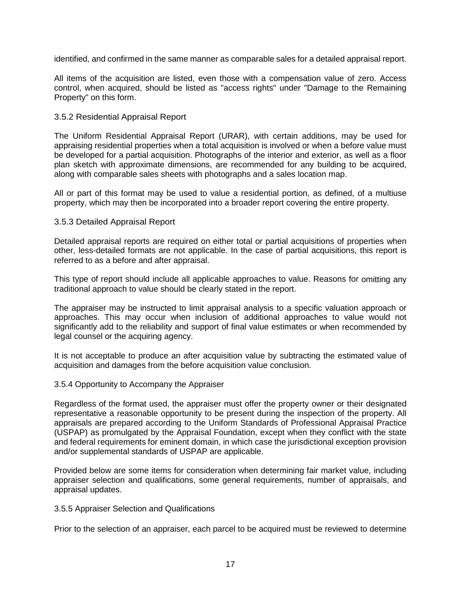identified, and confirmed in the same manner as comparable sales for a detailed appraisal report.

All items of the acquisition are listed, even those with a compensation value of zero. Access control, when acquired, should be listed as "access rights" under "Damage to the Remaining Property" on this form.

#### 3.5.2 Residential Appraisal Report

The Uniform Residential Appraisal Report (URAR), with certain additions, may be used for appraising residential properties when a total acquisition is involved or when a before value must be developed for a partial acquisition. Photographs of the interior and exterior, as well as a floor plan sketch with approximate dimensions, are recommended for any building to be acquired, along with comparable sales sheets with photographs and a sales location map.

All or part of this format may be used to value a residential portion, as defined, of a multiuse property, which may then be incorporated into a broader report covering the entire property.

#### 3.5.3 Detailed Appraisal Report

Detailed appraisal reports are required on either total or partial acquisitions of properties when other, less-detailed formats are not applicable. In the case of partial acquisitions, this report is referred to as a before and after appraisal.

This type of report should include all applicable approaches to value. Reasons for omitting any traditional approach to value should be clearly stated in the report.

The appraiser may be instructed to limit appraisal analysis to a specific valuation approach or approaches. This may occur when inclusion of additional approaches to value would not significantly add to the reliability and support of final value estimates or when recommended by legal counsel or the acquiring agency.

It is not acceptable to produce an after acquisition value by subtracting the estimated value of acquisition and damages from the before acquisition value conclusion.

#### 3.5.4 Opportunity to Accompany the Appraiser

Regardless of the format used, the appraiser must offer the property owner or their designated representative a reasonable opportunity to be present during the inspection of the property. All appraisals are prepared according to the Uniform Standards of Professional Appraisal Practice (USPAP) as promulgated by the Appraisal Foundation, except when they conflict with the state and federal requirements for eminent domain, in which case the jurisdictional exception provision and/or supplemental standards of USPAP are applicable.

Provided below are some items for consideration when determining fair market value, including appraiser selection and qualifications, some general requirements, number of appraisals, and appraisal updates.

#### 3.5.5 Appraiser Selection and Qualifications

Prior to the selection of an appraiser, each parcel to be acquired must be reviewed to determine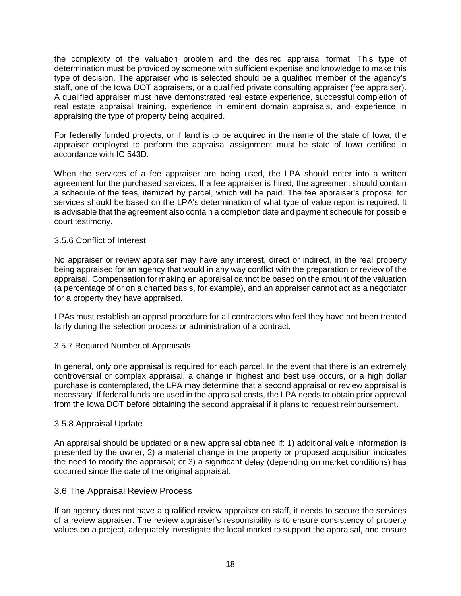the complexity of the valuation problem and the desired appraisal format. This type of determination must be provided by someone with sufficient expertise and knowledge to make this type of decision. The appraiser who is selected should be a qualified member of the agency's staff, one of the Iowa DOT appraisers, or a qualified private consulting appraiser (fee appraiser). A qualified appraiser must have demonstrated real estate experience, successful completion of real estate appraisal training, experience in eminent domain appraisals, and experience in appraising the type of property being acquired.

For federally funded projects, or if land is to be acquired in the name of the state of Iowa, the appraiser employed to perform the appraisal assignment must be state of Iowa certified in accordance with IC 543D.

When the services of a fee appraiser are being used, the LPA should enter into a written agreement for the purchased services. If a fee appraiser is hired, the agreement should contain a schedule of the fees, itemized by parcel, which will be paid. The fee appraiser's proposal for services should be based on the LPA's determination of what type of value report is required. It is advisable that the agreement also contain a completion date and payment schedule for possible court testimony.

## 3.5.6 Conflict of Interest

No appraiser or review appraiser may have any interest, direct or indirect, in the real property being appraised for an agency that would in any way conflict with the preparation or review of the appraisal. Compensation for making an appraisal cannot be based on the amount of the valuation (a percentage of or on a charted basis, for example), and an appraiser cannot act as a negotiator for a property they have appraised.

LPAs must establish an appeal procedure for all contractors who feel they have not been treated fairly during the selection process or administration of a contract.

#### 3.5.7 Required Number of Appraisals

In general, only one appraisal is required for each parcel. In the event that there is an extremely controversial or complex appraisal, a change in highest and best use occurs, or a high dollar purchase is contemplated, the LPA may determine that a second appraisal or review appraisal is necessary. If federal funds are used in the appraisal costs, the LPA needs to obtain prior approval from the Iowa DOT before obtaining the second appraisal if it plans to request reimbursement.

#### 3.5.8 Appraisal Update

An appraisal should be updated or a new appraisal obtained if: 1) additional value information is presented by the owner; 2) a material change in the property or proposed acquisition indicates the need to modify the appraisal; or 3) a significant delay (depending on market conditions) has occurred since the date of the original appraisal.

#### 3.6 The Appraisal Review Process

If an agency does not have a qualified review appraiser on staff, it needs to secure the services of a review appraiser. The review appraiser's responsibility is to ensure consistency of property values on a project, adequately investigate the local market to support the appraisal, and ensure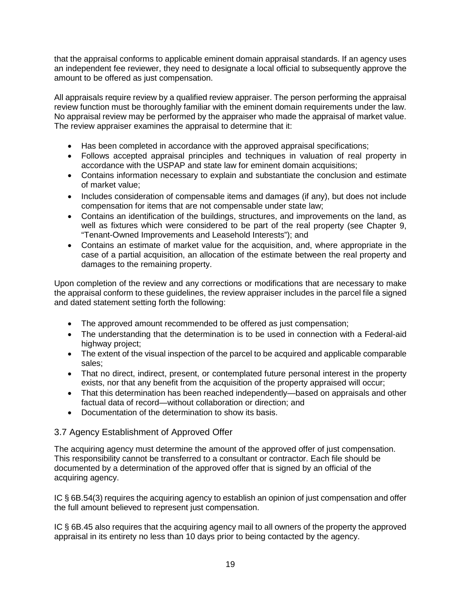that the appraisal conforms to applicable eminent domain appraisal standards. If an agency uses an independent fee reviewer, they need to designate a local official to subsequently approve the amount to be offered as just compensation.

All appraisals require review by a qualified review appraiser. The person performing the appraisal review function must be thoroughly familiar with the eminent domain requirements under the law. No appraisal review may be performed by the appraiser who made the appraisal of market value. The review appraiser examines the appraisal to determine that it:

- Has been completed in accordance with the approved appraisal specifications;
- Follows accepted appraisal principles and techniques in valuation of real property in accordance with the USPAP and state law for eminent domain acquisitions;
- Contains information necessary to explain and substantiate the conclusion and estimate of market value;
- Includes consideration of compensable items and damages (if any), but does not include compensation for items that are not compensable under state law;
- Contains an identification of the buildings, structures, and improvements on the land, as well as fixtures which were considered to be part of the real property (see Chapter 9, "Tenant-Owned Improvements and Leasehold Interests"); and
- Contains an estimate of market value for the acquisition, and, where appropriate in the case of a partial acquisition, an allocation of the estimate between the real property and damages to the remaining property.

Upon completion of the review and any corrections or modifications that are necessary to make the appraisal conform to these guidelines, the review appraiser includes in the parcel file a signed and dated statement setting forth the following:

- The approved amount recommended to be offered as just compensation;
- The understanding that the determination is to be used in connection with a Federal-aid highway project;
- The extent of the visual inspection of the parcel to be acquired and applicable comparable sales;
- That no direct, indirect, present, or contemplated future personal interest in the property exists, nor that any benefit from the acquisition of the property appraised will occur;
- That this determination has been reached independently—based on appraisals and other factual data of record—without collaboration or direction; and
- Documentation of the determination to show its basis.

## 3.7 Agency Establishment of Approved Offer

The acquiring agency must determine the amount of the approved offer of just compensation. This responsibility cannot be transferred to a consultant or contractor. Each file should be documented by a determination of the approved offer that is signed by an official of the acquiring agency.

IC § 6B.54(3) requires the acquiring agency to establish an opinion of just compensation and offer the full amount believed to represent just compensation.

IC § 6B.45 also requires that the acquiring agency mail to all owners of the property the approved appraisal in its entirety no less than 10 days prior to being contacted by the agency.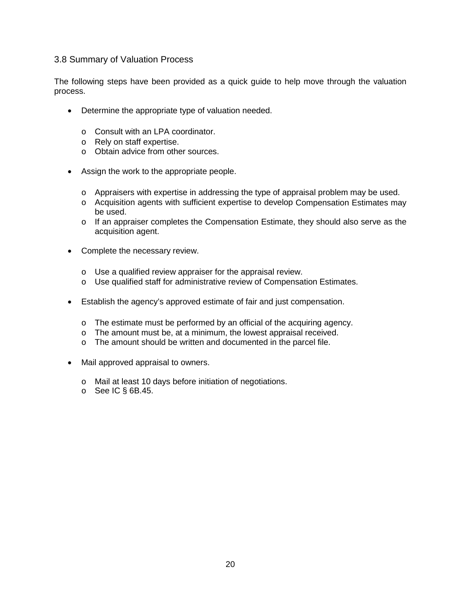## 3.8 Summary of Valuation Process

The following steps have been provided as a quick guide to help move through the valuation process.

- Determine the appropriate type of valuation needed.
	- o Consult with an LPA coordinator.
	- o Rely on staff expertise.
	- o Obtain advice from other sources.
- Assign the work to the appropriate people.
	- o Appraisers with expertise in addressing the type of appraisal problem may be used.
	- o Acquisition agents with sufficient expertise to develop Compensation Estimates may be used.
	- $\circ$  If an appraiser completes the Compensation Estimate, they should also serve as the acquisition agent.
- Complete the necessary review.
	- o Use a qualified review appraiser for the appraisal review.
	- o Use qualified staff for administrative review of Compensation Estimates.
- Establish the agency's approved estimate of fair and just compensation.
	- o The estimate must be performed by an official of the acquiring agency.
	- o The amount must be, at a minimum, the lowest appraisal received.
	- o The amount should be written and documented in the parcel file.
- Mail approved appraisal to owners.
	- o Mail at least 10 days before initiation of negotiations.
	- $\circ$  See IC § 6B.45.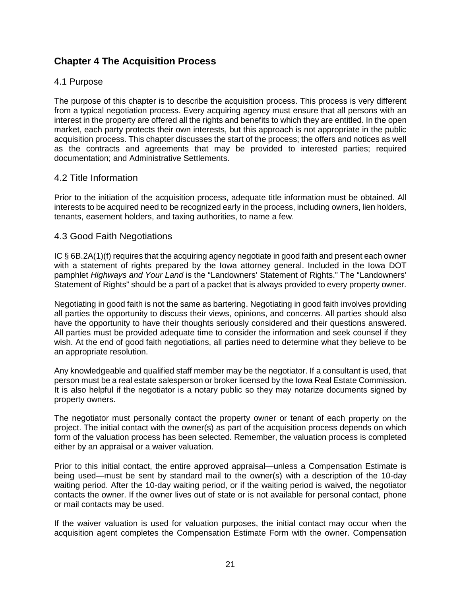# **Chapter 4 The Acquisition Process**

## 4.1 Purpose

The purpose of this chapter is to describe the acquisition process. This process is very different from a typical negotiation process. Every acquiring agency must ensure that all persons with an interest in the property are offered all the rights and benefits to which they are entitled. In the open market, each party protects their own interests, but this approach is not appropriate in the public acquisition process. This chapter discusses the start of the process; the offers and notices as well as the contracts and agreements that may be provided to interested parties; required documentation; and Administrative Settlements.

## 4.2 Title Information

Prior to the initiation of the acquisition process, adequate title information must be obtained. All interests to be acquired need to be recognized early in the process, including owners, lien holders, tenants, easement holders, and taxing authorities, to name a few.

## 4.3 Good Faith Negotiations

IC § 6B.2A(1)(f) requires that the acquiring agency negotiate in good faith and present each owner with a statement of rights prepared by the Iowa attorney general. Included in the Iowa DOT pamphlet *Highways and Your Land* is the "Landowners' Statement of Rights." The "Landowners' Statement of Rights" should be a part of a packet that is always provided to every property owner.

Negotiating in good faith is not the same as bartering. Negotiating in good faith involves providing all parties the opportunity to discuss their views, opinions, and concerns. All parties should also have the opportunity to have their thoughts seriously considered and their questions answered. All parties must be provided adequate time to consider the information and seek counsel if they wish. At the end of good faith negotiations, all parties need to determine what they believe to be an appropriate resolution.

Any knowledgeable and qualified staff member may be the negotiator. If a consultant is used, that person must be a real estate salesperson or broker licensed by the Iowa Real Estate Commission. It is also helpful if the negotiator is a notary public so they may notarize documents signed by property owners.

The negotiator must personally contact the property owner or tenant of each property on the project. The initial contact with the owner(s) as part of the acquisition process depends on which form of the valuation process has been selected. Remember, the valuation process is completed either by an appraisal or a waiver valuation.

Prior to this initial contact, the entire approved appraisal—unless a Compensation Estimate is being used—must be sent by standard mail to the owner(s) with a description of the 10-day waiting period. After the 10-day waiting period, or if the waiting period is waived, the negotiator contacts the owner. If the owner lives out of state or is not available for personal contact, phone or mail contacts may be used.

If the waiver valuation is used for valuation purposes, the initial contact may occur when the acquisition agent completes the Compensation Estimate Form with the owner. Compensation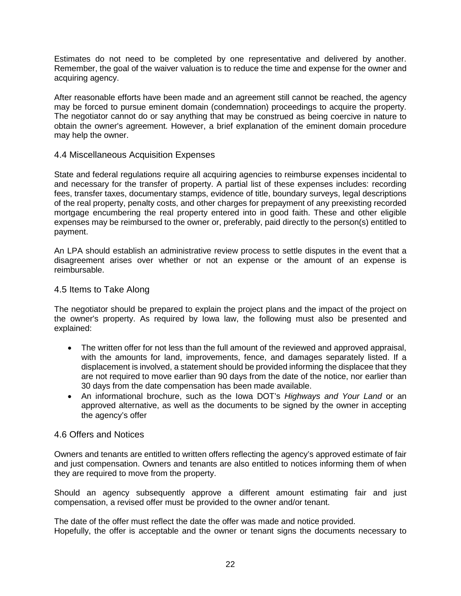Estimates do not need to be completed by one representative and delivered by another. Remember, the goal of the waiver valuation is to reduce the time and expense for the owner and acquiring agency.

After reasonable efforts have been made and an agreement still cannot be reached, the agency may be forced to pursue eminent domain (condemnation) proceedings to acquire the property. The negotiator cannot do or say anything that may be construed as being coercive in nature to obtain the owner's agreement. However, a brief explanation of the eminent domain procedure may help the owner.

## 4.4 Miscellaneous Acquisition Expenses

State and federal regulations require all acquiring agencies to reimburse expenses incidental to and necessary for the transfer of property. A partial list of these expenses includes: recording fees, transfer taxes, documentary stamps, evidence of title, boundary surveys, legal descriptions of the real property, penalty costs, and other charges for prepayment of any preexisting recorded mortgage encumbering the real property entered into in good faith. These and other eligible expenses may be reimbursed to the owner or, preferably, paid directly to the person(s) entitled to payment.

An LPA should establish an administrative review process to settle disputes in the event that a disagreement arises over whether or not an expense or the amount of an expense is reimbursable.

## 4.5 Items to Take Along

The negotiator should be prepared to explain the project plans and the impact of the project on the owner's property. As required by Iowa law, the following must also be presented and explained:

- The written offer for not less than the full amount of the reviewed and approved appraisal, with the amounts for land, improvements, fence, and damages separately listed. If a displacement is involved, a statement should be provided informing the displacee that they are not required to move earlier than 90 days from the date of the notice, nor earlier than 30 days from the date compensation has been made available.
- An informational brochure, such as the Iowa DOT's *Highways and Your Land* or an approved alternative, as well as the documents to be signed by the owner in accepting the agency's offer

## 4.6 Offers and Notices

Owners and tenants are entitled to written offers reflecting the agency's approved estimate of fair and just compensation. Owners and tenants are also entitled to notices informing them of when they are required to move from the property.

Should an agency subsequently approve a different amount estimating fair and iust compensation, a revised offer must be provided to the owner and/or tenant.

The date of the offer must reflect the date the offer was made and notice provided. Hopefully, the offer is acceptable and the owner or tenant signs the documents necessary to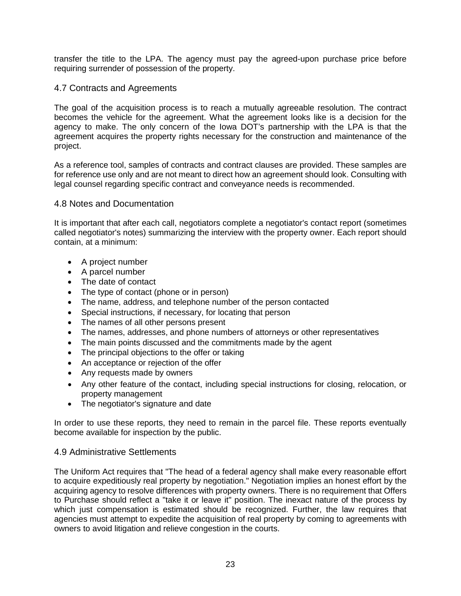transfer the title to the LPA. The agency must pay the agreed-upon purchase price before requiring surrender of possession of the property.

## 4.7 Contracts and Agreements

The goal of the acquisition process is to reach a mutually agreeable resolution. The contract becomes the vehicle for the agreement. What the agreement looks like is a decision for the agency to make. The only concern of the Iowa DOT's partnership with the LPA is that the agreement acquires the property rights necessary for the construction and maintenance of the project.

As a reference tool, samples of contracts and contract clauses are provided. These samples are for reference use only and are not meant to direct how an agreement should look. Consulting with legal counsel regarding specific contract and conveyance needs is recommended.

## 4.8 Notes and Documentation

It is important that after each call, negotiators complete a negotiator's contact report (sometimes called negotiator's notes) summarizing the interview with the property owner. Each report should contain, at a minimum:

- A project number
- A parcel number
- The date of contact
- The type of contact (phone or in person)
- The name, address, and telephone number of the person contacted
- Special instructions, if necessary, for locating that person
- The names of all other persons present
- The names, addresses, and phone numbers of attorneys or other representatives
- The main points discussed and the commitments made by the agent
- The principal objections to the offer or taking
- An acceptance or rejection of the offer
- Any requests made by owners
- Any other feature of the contact, including special instructions for closing, relocation, or property management
- The negotiator's signature and date

In order to use these reports, they need to remain in the parcel file. These reports eventually become available for inspection by the public.

## 4.9 Administrative Settlements

The Uniform Act requires that "The head of a federal agency shall make every reasonable effort to acquire expeditiously real property by negotiation." Negotiation implies an honest effort by the acquiring agency to resolve differences with property owners. There is no requirement that Offers to Purchase should reflect a "take it or leave it" position. The inexact nature of the process by which just compensation is estimated should be recognized. Further, the law requires that agencies must attempt to expedite the acquisition of real property by coming to agreements with owners to avoid litigation and relieve congestion in the courts.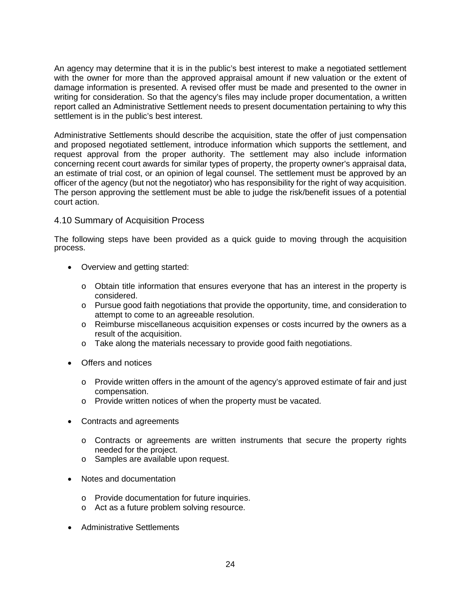An agency may determine that it is in the public's best interest to make a negotiated settlement with the owner for more than the approved appraisal amount if new valuation or the extent of damage information is presented. A revised offer must be made and presented to the owner in writing for consideration. So that the agency's files may include proper documentation, a written report called an Administrative Settlement needs to present documentation pertaining to why this settlement is in the public's best interest.

Administrative Settlements should describe the acquisition, state the offer of just compensation and proposed negotiated settlement, introduce information which supports the settlement, and request approval from the proper authority. The settlement may also include information concerning recent court awards for similar types of property, the property owner's appraisal data, an estimate of trial cost, or an opinion of legal counsel. The settlement must be approved by an officer of the agency (but not the negotiator) who has responsibility for the right of way acquisition. The person approving the settlement must be able to judge the risk/benefit issues of a potential court action.

## 4.10 Summary of Acquisition Process

The following steps have been provided as a quick guide to moving through the acquisition process.

- Overview and getting started:
	- $\circ$  Obtain title information that ensures everyone that has an interest in the property is considered.
	- o Pursue good faith negotiations that provide the opportunity, time, and consideration to attempt to come to an agreeable resolution.
	- o Reimburse miscellaneous acquisition expenses or costs incurred by the owners as a result of the acquisition.
	- o Take along the materials necessary to provide good faith negotiations.
- Offers and notices
	- o Provide written offers in the amount of the agency's approved estimate of fair and just compensation.
	- o Provide written notices of when the property must be vacated.
- Contracts and agreements
	- o Contracts or agreements are written instruments that secure the property rights needed for the project.
	- o Samples are available upon request.
- Notes and documentation
	- o Provide documentation for future inquiries.
	- o Act as a future problem solving resource.
- Administrative Settlements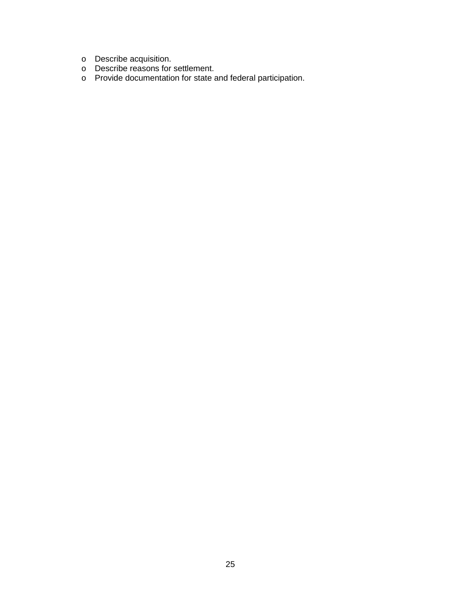- o Describe acquisition.
- o Describe reasons for settlement.
- o Provide documentation for state and federal participation.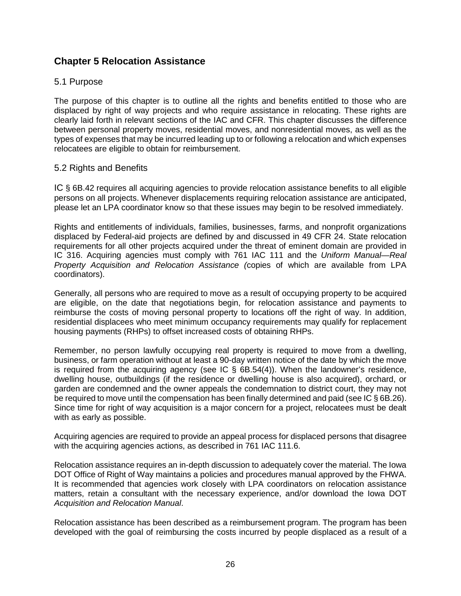# **Chapter 5 Relocation Assistance**

## 5.1 Purpose

The purpose of this chapter is to outline all the rights and benefits entitled to those who are displaced by right of way projects and who require assistance in relocating. These rights are clearly laid forth in relevant sections of the IAC and CFR. This chapter discusses the difference between personal property moves, residential moves, and nonresidential moves, as well as the types of expenses that may be incurred leading up to or following a relocation and which expenses relocatees are eligible to obtain for reimbursement.

## 5.2 Rights and Benefits

IC § 6B.42 requires all acquiring agencies to provide relocation assistance benefits to all eligible persons on all projects. Whenever displacements requiring relocation assistance are anticipated, please let an LPA coordinator know so that these issues may begin to be resolved immediately.

Rights and entitlements of individuals, families, businesses, farms, and nonprofit organizations displaced by Federal-aid projects are defined by and discussed in 49 CFR 24. State relocation requirements for all other projects acquired under the threat of eminent domain are provided in IC 316. Acquiring agencies must comply with 761 IAC 111 and the *Uniform Manual—Real Property Acquisition and Relocation Assistance (*copies of which are available from LPA coordinators).

Generally, all persons who are required to move as a result of occupying property to be acquired are eligible, on the date that negotiations begin, for relocation assistance and payments to reimburse the costs of moving personal property to locations off the right of way. In addition, residential displacees who meet minimum occupancy requirements may qualify for replacement housing payments (RHPs) to offset increased costs of obtaining RHPs.

Remember, no person lawfully occupying real property is required to move from a dwelling, business, or farm operation without at least a 90-day written notice of the date by which the move is required from the acquiring agency (see IC  $\S$  6B.54(4)). When the landowner's residence, dwelling house, outbuildings (if the residence or dwelling house is also acquired), orchard, or garden are condemned and the owner appeals the condemnation to district court, they may not be required to move until the compensation has been finally determined and paid (see IC § 6B.26). Since time for right of way acquisition is a major concern for a project, relocatees must be dealt with as early as possible.

Acquiring agencies are required to provide an appeal process for displaced persons that disagree with the acquiring agencies actions, as described in 761 IAC 111.6.

Relocation assistance requires an in-depth discussion to adequately cover the material. The Iowa DOT Office of Right of Way maintains a policies and procedures manual approved by the FHWA. It is recommended that agencies work closely with LPA coordinators on relocation assistance matters, retain a consultant with the necessary experience, and/or download the Iowa DOT *Acquisition and Relocation Manual*.

Relocation assistance has been described as a reimbursement program. The program has been developed with the goal of reimbursing the costs incurred by people displaced as a result of a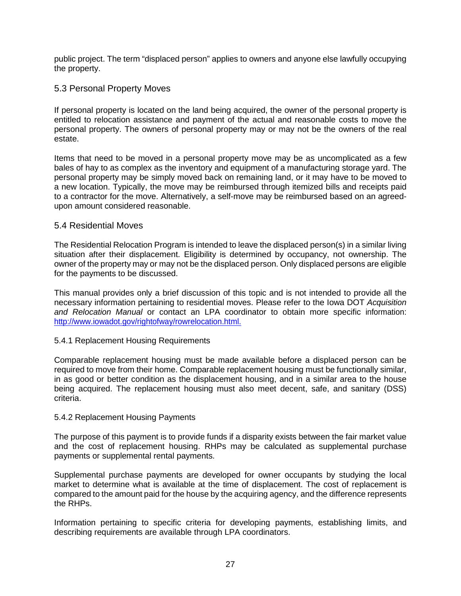public project. The term "displaced person" applies to owners and anyone else lawfully occupying the property.

## 5.3 Personal Property Moves

If personal property is located on the land being acquired, the owner of the personal property is entitled to relocation assistance and payment of the actual and reasonable costs to move the personal property. The owners of personal property may or may not be the owners of the real estate.

Items that need to be moved in a personal property move may be as uncomplicated as a few bales of hay to as complex as the inventory and equipment of a manufacturing storage yard. The personal property may be simply moved back on remaining land, or it may have to be moved to a new location. Typically, the move may be reimbursed through itemized bills and receipts paid to a contractor for the move. Alternatively, a self-move may be reimbursed based on an agreedupon amount considered reasonable.

#### 5.4 Residential Moves

The Residential Relocation Program is intended to leave the displaced person(s) in a similar living situation after their displacement. Eligibility is determined by occupancy, not ownership. The owner of the property may or may not be the displaced person. Only displaced persons are eligible for the payments to be discussed.

This manual provides only a brief discussion of this topic and is not intended to provide all the necessary information pertaining to residential moves. Please refer to the Iowa DOT *Acquisition and Relocation Manual* or contact an LPA coordinator to obtain more specific information: [http://www.iowadot.gov/rightofway/rowrelocation.html.](http://www.dot.state.ia.us/rightofway/rowrelocation.html)

#### 5.4.1 Replacement Housing Requirements

Comparable replacement housing must be made available before a displaced person can be required to move from their home. Comparable replacement housing must be functionally similar, in as good or better condition as the displacement housing, and in a similar area to the house being acquired. The replacement housing must also meet decent, safe, and sanitary (DSS) criteria.

#### 5.4.2 Replacement Housing Payments

The purpose of this payment is to provide funds if a disparity exists between the fair market value and the cost of replacement housing. RHPs may be calculated as supplemental purchase payments or supplemental rental payments.

Supplemental purchase payments are developed for owner occupants by studying the local market to determine what is available at the time of displacement. The cost of replacement is compared to the amount paid for the house by the acquiring agency, and the difference represents the RHPs.

Information pertaining to specific criteria for developing payments, establishing limits, and describing requirements are available through LPA coordinators.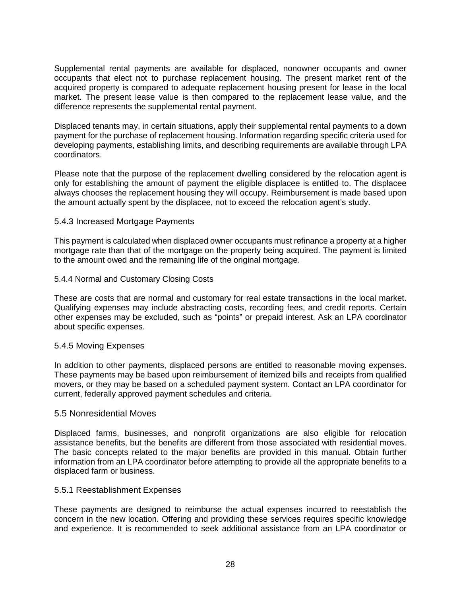Supplemental rental payments are available for displaced, nonowner occupants and owner occupants that elect not to purchase replacement housing. The present market rent of the acquired property is compared to adequate replacement housing present for lease in the local market. The present lease value is then compared to the replacement lease value, and the difference represents the supplemental rental payment.

Displaced tenants may, in certain situations, apply their supplemental rental payments to a down payment for the purchase of replacement housing. Information regarding specific criteria used for developing payments, establishing limits, and describing requirements are available through LPA coordinators.

Please note that the purpose of the replacement dwelling considered by the relocation agent is only for establishing the amount of payment the eligible displacee is entitled to. The displacee always chooses the replacement housing they will occupy. Reimbursement is made based upon the amount actually spent by the displacee, not to exceed the relocation agent's study.

#### 5.4.3 Increased Mortgage Payments

This payment is calculated when displaced owner occupants must refinance a property at a higher mortgage rate than that of the mortgage on the property being acquired. The payment is limited to the amount owed and the remaining life of the original mortgage.

#### 5.4.4 Normal and Customary Closing Costs

These are costs that are normal and customary for real estate transactions in the local market. Qualifying expenses may include abstracting costs, recording fees, and credit reports. Certain other expenses may be excluded, such as "points" or prepaid interest. Ask an LPA coordinator about specific expenses.

#### 5.4.5 Moving Expenses

In addition to other payments, displaced persons are entitled to reasonable moving expenses. These payments may be based upon reimbursement of itemized bills and receipts from qualified movers, or they may be based on a scheduled payment system. Contact an LPA coordinator for current, federally approved payment schedules and criteria.

#### 5.5 Nonresidential Moves

Displaced farms, businesses, and nonprofit organizations are also eligible for relocation assistance benefits, but the benefits are different from those associated with residential moves. The basic concepts related to the major benefits are provided in this manual. Obtain further information from an LPA coordinator before attempting to provide all the appropriate benefits to a displaced farm or business.

#### 5.5.1 Reestablishment Expenses

These payments are designed to reimburse the actual expenses incurred to reestablish the concern in the new location. Offering and providing these services requires specific knowledge and experience. It is recommended to seek additional assistance from an LPA coordinator or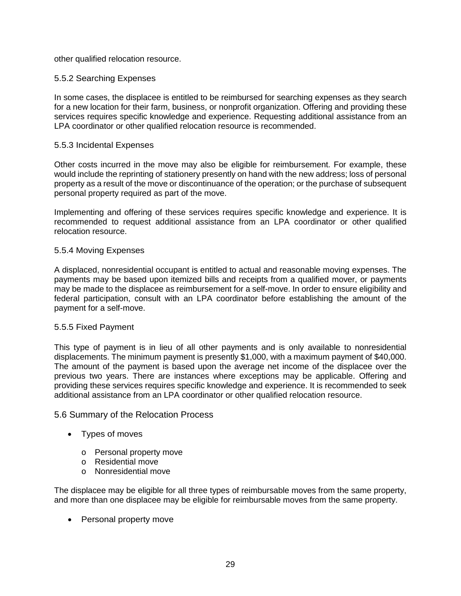other qualified relocation resource.

## 5.5.2 Searching Expenses

In some cases, the displacee is entitled to be reimbursed for searching expenses as they search for a new location for their farm, business, or nonprofit organization. Offering and providing these services requires specific knowledge and experience. Requesting additional assistance from an LPA coordinator or other qualified relocation resource is recommended.

## 5.5.3 Incidental Expenses

Other costs incurred in the move may also be eligible for reimbursement. For example, these would include the reprinting of stationery presently on hand with the new address; loss of personal property as a result of the move or discontinuance of the operation; or the purchase of subsequent personal property required as part of the move.

Implementing and offering of these services requires specific knowledge and experience. It is recommended to request additional assistance from an LPA coordinator or other qualified relocation resource.

## 5.5.4 Moving Expenses

A displaced, nonresidential occupant is entitled to actual and reasonable moving expenses. The payments may be based upon itemized bills and receipts from a qualified mover, or payments may be made to the displacee as reimbursement for a self-move. In order to ensure eligibility and federal participation, consult with an LPA coordinator before establishing the amount of the payment for a self-move.

## 5.5.5 Fixed Payment

This type of payment is in lieu of all other payments and is only available to nonresidential displacements. The minimum payment is presently \$1,000, with a maximum payment of \$40,000. The amount of the payment is based upon the average net income of the displacee over the previous two years. There are instances where exceptions may be applicable. Offering and providing these services requires specific knowledge and experience. It is recommended to seek additional assistance from an LPA coordinator or other qualified relocation resource.

## 5.6 Summary of the Relocation Process

- Types of moves
	- o Personal property move
	- o Residential move
	- o Nonresidential move

The displacee may be eligible for all three types of reimbursable moves from the same property, and more than one displacee may be eligible for reimbursable moves from the same property.

• Personal property move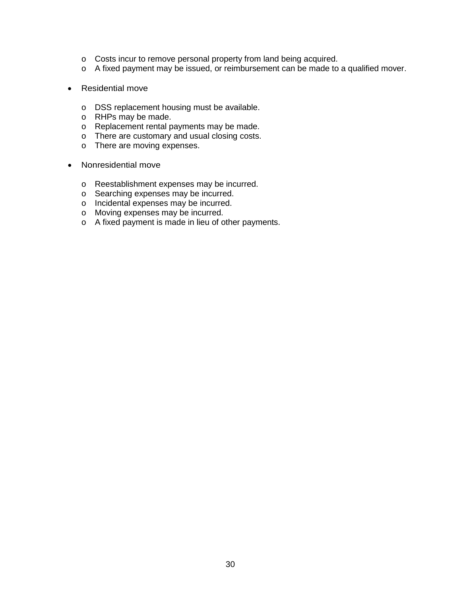- o Costs incur to remove personal property from land being acquired.
- o A fixed payment may be issued, or reimbursement can be made to a qualified mover.
- Residential move
	- o DSS replacement housing must be available.
	- o RHPs may be made.
	- o Replacement rental payments may be made.
	- o There are customary and usual closing costs.
	- o There are moving expenses.
- Nonresidential move
	- o Reestablishment expenses may be incurred.
	- o Searching expenses may be incurred.
	- o Incidental expenses may be incurred.
	- o Moving expenses may be incurred.
	- o A fixed payment is made in lieu of other payments.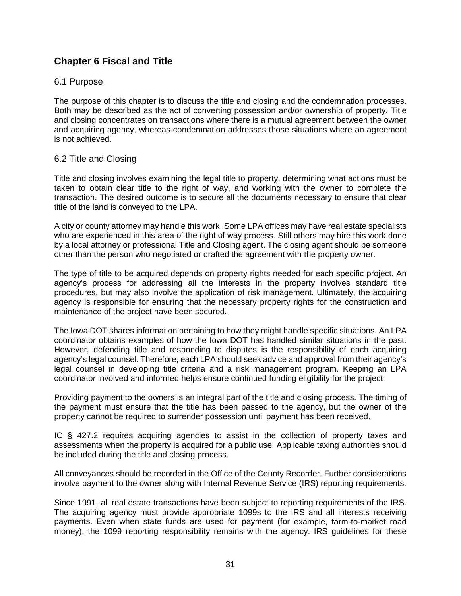# **Chapter 6 Fiscal and Title**

## 6.1 Purpose

The purpose of this chapter is to discuss the title and closing and the condemnation processes. Both may be described as the act of converting possession and/or ownership of property. Title and closing concentrates on transactions where there is a mutual agreement between the owner and acquiring agency, whereas condemnation addresses those situations where an agreement is not achieved.

## 6.2 Title and Closing

Title and closing involves examining the legal title to property, determining what actions must be taken to obtain clear title to the right of way, and working with the owner to complete the transaction. The desired outcome is to secure all the documents necessary to ensure that clear title of the land is conveyed to the LPA.

A city or county attorney may handle this work. Some LPA offices may have real estate specialists who are experienced in this area of the right of way process. Still others may hire this work done by a local attorney or professional Title and Closing agent. The closing agent should be someone other than the person who negotiated or drafted the agreement with the property owner.

The type of title to be acquired depends on property rights needed for each specific project. An agency's process for addressing all the interests in the property involves standard title procedures, but may also involve the application of risk management. Ultimately, the acquiring agency is responsible for ensuring that the necessary property rights for the construction and maintenance of the project have been secured.

The Iowa DOT shares information pertaining to how they might handle specific situations. An LPA coordinator obtains examples of how the Iowa DOT has handled similar situations in the past. However, defending title and responding to disputes is the responsibility of each acquiring agency's legal counsel. Therefore, each LPA should seek advice and approval from their agency's legal counsel in developing title criteria and a risk management program. Keeping an LPA coordinator involved and informed helps ensure continued funding eligibility for the project.

Providing payment to the owners is an integral part of the title and closing process. The timing of the payment must ensure that the title has been passed to the agency, but the owner of the property cannot be required to surrender possession until payment has been received.

IC § 427.2 requires acquiring agencies to assist in the collection of property taxes and assessments when the property is acquired for a public use. Applicable taxing authorities should be included during the title and closing process.

All conveyances should be recorded in the Office of the County Recorder. Further considerations involve payment to the owner along with Internal Revenue Service (IRS) reporting requirements.

Since 1991, all real estate transactions have been subject to reporting requirements of the IRS. The acquiring agency must provide appropriate 1099s to the IRS and all interests receiving payments. Even when state funds are used for payment (for example, farm-to-market road money), the 1099 reporting responsibility remains with the agency. IRS guidelines for these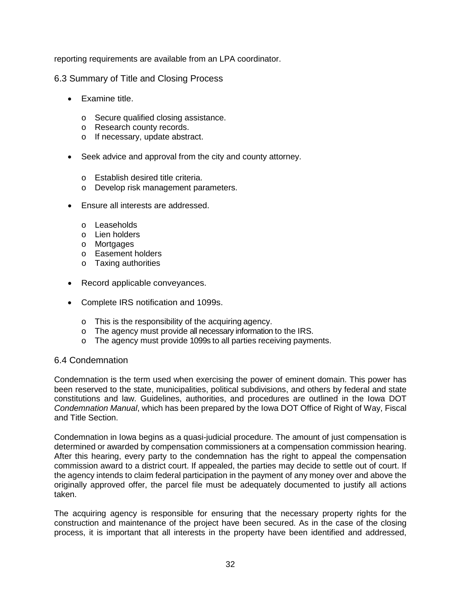reporting requirements are available from an LPA coordinator.

6.3 Summary of Title and Closing Process

- Examine title.
	- o Secure qualified closing assistance.
	- o Research county records.
	- o If necessary, update abstract.
- Seek advice and approval from the city and county attorney.
	- o Establish desired title criteria.
	- o Develop risk management parameters.
- Ensure all interests are addressed.
	- o Leaseholds
	- o Lien holders
	- o Mortgages
	- o Easement holders
	- o Taxing authorities
- Record applicable conveyances.
- Complete IRS notification and 1099s.
	- o This is the responsibility of the acquiring agency.
	- o The agency must provide all necessary information to the IRS.
	- o The agency must provide 1099s to all parties receiving payments.

## 6.4 Condemnation

Condemnation is the term used when exercising the power of eminent domain. This power has been reserved to the state, municipalities, political subdivisions, and others by federal and state constitutions and law. Guidelines, authorities, and procedures are outlined in the Iowa DOT *Condemnation Manual*, which has been prepared by the Iowa DOT Office of Right of Way, Fiscal and Title Section.

Condemnation in Iowa begins as a quasi-judicial procedure. The amount of just compensation is determined or awarded by compensation commissioners at a compensation commission hearing. After this hearing, every party to the condemnation has the right to appeal the compensation commission award to a district court. If appealed, the parties may decide to settle out of court. If the agency intends to claim federal participation in the payment of any money over and above the originally approved offer, the parcel file must be adequately documented to justify all actions taken.

The acquiring agency is responsible for ensuring that the necessary property rights for the construction and maintenance of the project have been secured. As in the case of the closing process, it is important that all interests in the property have been identified and addressed,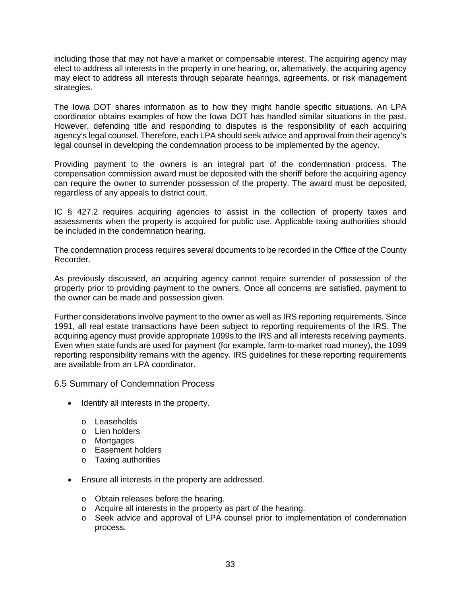including those that may not have a market or compensable interest. The acquiring agency may elect to address all interests in the property in one hearing, or, alternatively, the acquiring agency may elect to address all interests through separate hearings, agreements, or risk management strategies.

The Iowa DOT shares information as to how they might handle specific situations. An LPA coordinator obtains examples of how the Iowa DOT has handled similar situations in the past. However, defending title and responding to disputes is the responsibility of each acquiring agency's legal counsel. Therefore, each LPA should seek advice and approval from their agency's legal counsel in developing the condemnation process to be implemented by the agency.

Providing payment to the owners is an integral part of the condemnation process. The compensation commission award must be deposited with the sheriff before the acquiring agency can require the owner to surrender possession of the property. The award must be deposited, regardless of any appeals to district court.

IC § 427.2 requires acquiring agencies to assist in the collection of property taxes and assessments when the property is acquired for public use. Applicable taxing authorities should be included in the condemnation hearing.

The condemnation process requires several documents to be recorded in the Office of the County Recorder.

As previously discussed, an acquiring agency cannot require surrender of possession of the property prior to providing payment to the owners. Once all concerns are satisfied, payment to the owner can be made and possession given.

Further considerations involve payment to the owner as well as IRS reporting requirements. Since 1991, all real estate transactions have been subject to reporting requirements of the IRS. The acquiring agency must provide appropriate 1099s to the IRS and all interests receiving payments. Even when state funds are used for payment (for example, farm-to-market road money), the 1099 reporting responsibility remains with the agency. IRS guidelines for these reporting requirements are available from an LPA coordinator.

6.5 Summary of Condemnation Process

- Identify all interests in the property.
	- o Leaseholds
	- o Lien holders
	- o Mortgages
	- o Easement holders
	- o Taxing authorities
- Ensure all interests in the property are addressed.
	- o Obtain releases before the hearing.
	- o Acquire all interests in the property as part of the hearing.
	- o Seek advice and approval of LPA counsel prior to implementation of condemnation process.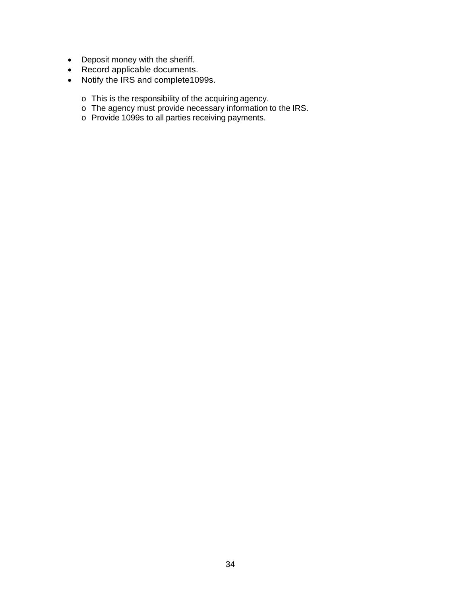- Deposit money with the sheriff.
- Record applicable documents.
- Notify the IRS and complete1099s.
	- $\circ$  This is the responsibility of the acquiring agency.
	- o The agency must provide necessary information to the IRS.
	- o Provide 1099s to all parties receiving payments.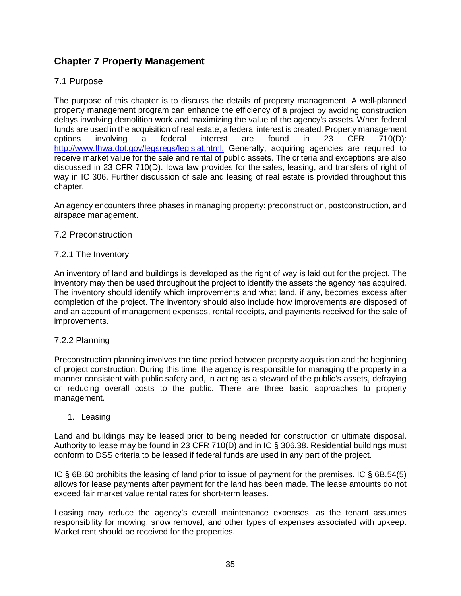# **Chapter 7 Property Management**

## 7.1 Purpose

The purpose of this chapter is to discuss the details of property management. A well-planned property management program can enhance the efficiency of a project by avoiding construction delays involving demolition work and maximizing the value of the agency's assets. When federal funds are used in the acquisition of real estate, a federal interest is created. Property management options involving a federal interest are found in 23 CFR 710(D): [http://www.fhwa.dot.gov/legsregs/legislat.html.](http://www.fhwa.dot.gov/legsregs/legislat.html) Generally, acquiring agencies are required to receive market value for the sale and rental of public assets. The criteria and exceptions are also discussed in 23 CFR 710(D). Iowa law provides for the sales, leasing, and transfers of right of way in IC 306. Further discussion of sale and leasing of real estate is provided throughout this chapter.

An agency encounters three phases in managing property: preconstruction, postconstruction, and airspace management.

## 7.2 Preconstruction

## 7.2.1 The Inventory

An inventory of land and buildings is developed as the right of way is laid out for the project. The inventory may then be used throughout the project to identify the assets the agency has acquired. The inventory should identify which improvements and what land, if any, becomes excess after completion of the project. The inventory should also include how improvements are disposed of and an account of management expenses, rental receipts, and payments received for the sale of improvements.

## 7.2.2 Planning

Preconstruction planning involves the time period between property acquisition and the beginning of project construction. During this time, the agency is responsible for managing the property in a manner consistent with public safety and, in acting as a steward of the public's assets, defraying or reducing overall costs to the public. There are three basic approaches to property management.

## 1. Leasing

Land and buildings may be leased prior to being needed for construction or ultimate disposal. Authority to lease may be found in 23 CFR 710(D) and in IC § 306.38. Residential buildings must conform to DSS criteria to be leased if federal funds are used in any part of the project.

IC § 6B.60 prohibits the leasing of land prior to issue of payment for the premises. IC § 6B.54(5) allows for lease payments after payment for the land has been made. The lease amounts do not exceed fair market value rental rates for short-term leases.

Leasing may reduce the agency's overall maintenance expenses, as the tenant assumes responsibility for mowing, snow removal, and other types of expenses associated with upkeep. Market rent should be received for the properties.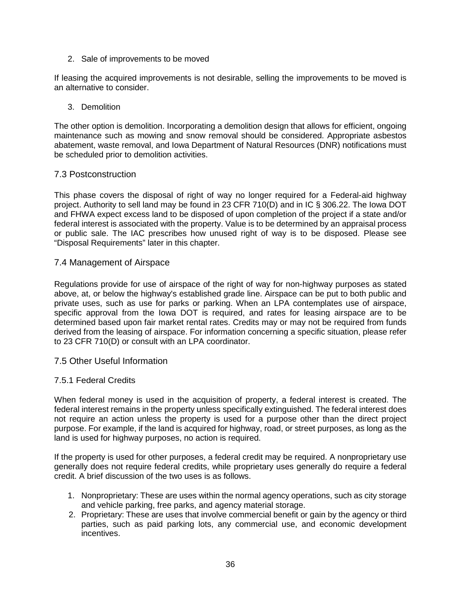2. Sale of improvements to be moved

If leasing the acquired improvements is not desirable, selling the improvements to be moved is an alternative to consider.

#### 3. Demolition

The other option is demolition. Incorporating a demolition design that allows for efficient, ongoing maintenance such as mowing and snow removal should be considered. Appropriate asbestos abatement, waste removal, and Iowa Department of Natural Resources (DNR) notifications must be scheduled prior to demolition activities.

#### 7.3 Postconstruction

This phase covers the disposal of right of way no longer required for a Federal-aid highway project. Authority to sell land may be found in 23 CFR 710(D) and in IC § 306.22. The Iowa DOT and FHWA expect excess land to be disposed of upon completion of the project if a state and/or federal interest is associated with the property. Value is to be determined by an appraisal process or public sale. The IAC prescribes how unused right of way is to be disposed. Please see "Disposal Requirements" later in this chapter.

#### 7.4 Management of Airspace

Regulations provide for use of airspace of the right of way for non-highway purposes as stated above, at, or below the highway's established grade line. Airspace can be put to both public and private uses, such as use for parks or parking. When an LPA contemplates use of airspace, specific approval from the Iowa DOT is required, and rates for leasing airspace are to be determined based upon fair market rental rates. Credits may or may not be required from funds derived from the leasing of airspace. For information concerning a specific situation, please refer to 23 CFR 710(D) or consult with an LPA coordinator.

## 7.5 Other Useful Information

#### 7.5.1 Federal Credits

When federal money is used in the acquisition of property, a federal interest is created. The federal interest remains in the property unless specifically extinguished. The federal interest does not require an action unless the property is used for a purpose other than the direct project purpose. For example, if the land is acquired for highway, road, or street purposes, as long as the land is used for highway purposes, no action is required.

If the property is used for other purposes, a federal credit may be required. A nonproprietary use generally does not require federal credits, while proprietary uses generally do require a federal credit. A brief discussion of the two uses is as follows.

- 1. Nonproprietary: These are uses within the normal agency operations, such as city storage and vehicle parking, free parks, and agency material storage.
- 2. Proprietary: These are uses that involve commercial benefit or gain by the agency or third parties, such as paid parking lots, any commercial use, and economic development incentives.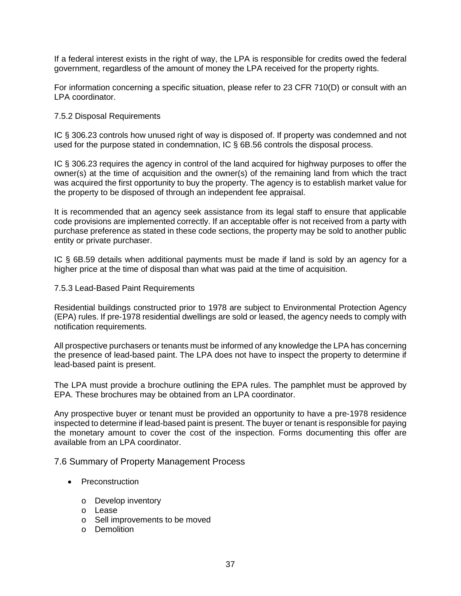If a federal interest exists in the right of way, the LPA is responsible for credits owed the federal government, regardless of the amount of money the LPA received for the property rights.

For information concerning a specific situation, please refer to 23 CFR 710(D) or consult with an LPA coordinator.

#### 7.5.2 Disposal Requirements

IC § 306.23 controls how unused right of way is disposed of. If property was condemned and not used for the purpose stated in condemnation, IC § 6B.56 controls the disposal process.

IC § 306.23 requires the agency in control of the land acquired for highway purposes to offer the owner(s) at the time of acquisition and the owner(s) of the remaining land from which the tract was acquired the first opportunity to buy the property. The agency is to establish market value for the property to be disposed of through an independent fee appraisal.

It is recommended that an agency seek assistance from its legal staff to ensure that applicable code provisions are implemented correctly. If an acceptable offer is not received from a party with purchase preference as stated in these code sections, the property may be sold to another public entity or private purchaser.

IC § 6B.59 details when additional payments must be made if land is sold by an agency for a higher price at the time of disposal than what was paid at the time of acquisition.

7.5.3 Lead-Based Paint Requirements

Residential buildings constructed prior to 1978 are subject to Environmental Protection Agency (EPA) rules. If pre-1978 residential dwellings are sold or leased, the agency needs to comply with notification requirements.

All prospective purchasers or tenants must be informed of any knowledge the LPA has concerning the presence of lead-based paint. The LPA does not have to inspect the property to determine if lead-based paint is present.

The LPA must provide a brochure outlining the EPA rules. The pamphlet must be approved by EPA. These brochures may be obtained from an LPA coordinator.

Any prospective buyer or tenant must be provided an opportunity to have a pre-1978 residence inspected to determine if lead-based paint is present. The buyer or tenant is responsible for paying the monetary amount to cover the cost of the inspection. Forms documenting this offer are available from an LPA coordinator.

#### 7.6 Summary of Property Management Process

- Preconstruction
	- o Develop inventory
	- o Lease
	- o Sell improvements to be moved
	- o Demolition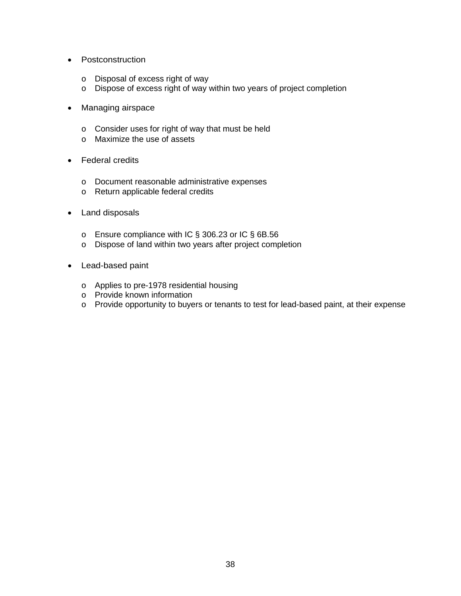- Postconstruction
	- o Disposal of excess right of way
	- o Dispose of excess right of way within two years of project completion
- Managing airspace
	- o Consider uses for right of way that must be held
	- o Maximize the use of assets
- Federal credits
	- o Document reasonable administrative expenses
	- o Return applicable federal credits
- Land disposals
	- o Ensure compliance with IC § 306.23 or IC § 6B.56
	- o Dispose of land within two years after project completion
- Lead-based paint
	- o Applies to pre-1978 residential housing
	- o Provide known information
	- o Provide opportunity to buyers or tenants to test for lead-based paint, at their expense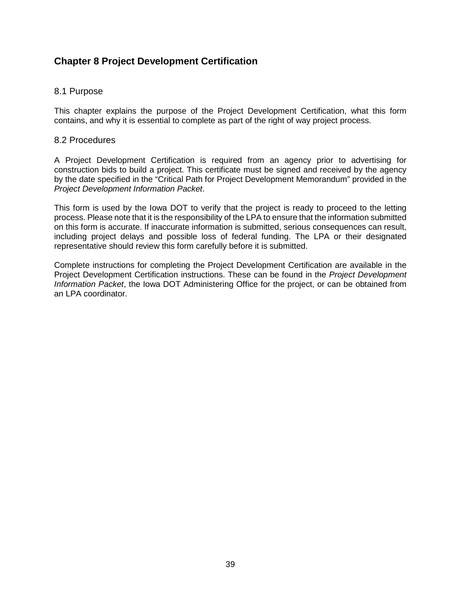# **Chapter 8 Project Development Certification**

## 8.1 Purpose

This chapter explains the purpose of the Project Development Certification, what this form contains, and why it is essential to complete as part of the right of way project process.

#### 8.2 Procedures

A Project Development Certification is required from an agency prior to advertising for construction bids to build a project. This certificate must be signed and received by the agency by the date specified in the "Critical Path for Project Development Memorandum" provided in the *Project Development Information Packet*.

This form is used by the Iowa DOT to verify that the project is ready to proceed to the letting process. Please note that it is the responsibility of the LPA to ensure that the information submitted on this form is accurate. If inaccurate information is submitted, serious consequences can result, including project delays and possible loss of federal funding. The LPA or their designated representative should review this form carefully before it is submitted.

Complete instructions for completing the Project Development Certification are available in the Project Development Certification instructions. These can be found in the *Project Development Information Packet*, the Iowa DOT Administering Office for the project, or can be obtained from an LPA coordinator.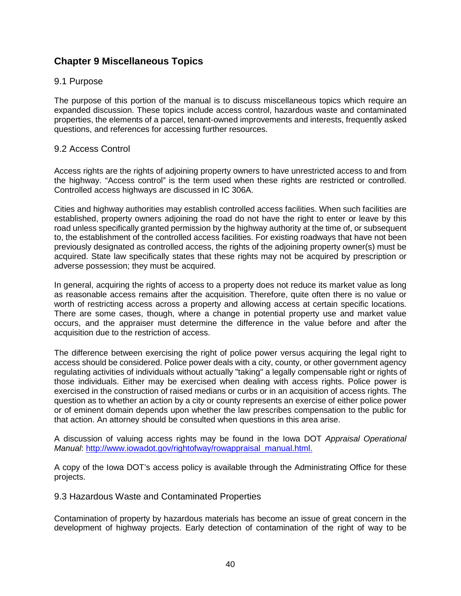# **Chapter 9 Miscellaneous Topics**

## 9.1 Purpose

The purpose of this portion of the manual is to discuss miscellaneous topics which require an expanded discussion. These topics include access control, hazardous waste and contaminated properties, the elements of a parcel, tenant-owned improvements and interests, frequently asked questions, and references for accessing further resources.

## 9.2 Access Control

Access rights are the rights of adjoining property owners to have unrestricted access to and from the highway. "Access control" is the term used when these rights are restricted or controlled. Controlled access highways are discussed in IC 306A.

Cities and highway authorities may establish controlled access facilities. When such facilities are established, property owners adjoining the road do not have the right to enter or leave by this road unless specifically granted permission by the highway authority at the time of, or subsequent to, the establishment of the controlled access facilities. For existing roadways that have not been previously designated as controlled access, the rights of the adjoining property owner(s) must be acquired. State law specifically states that these rights may not be acquired by prescription or adverse possession; they must be acquired.

In general, acquiring the rights of access to a property does not reduce its market value as long as reasonable access remains after the acquisition. Therefore, quite often there is no value or worth of restricting access across a property and allowing access at certain specific locations. There are some cases, though, where a change in potential property use and market value occurs, and the appraiser must determine the difference in the value before and after the acquisition due to the restriction of access.

The difference between exercising the right of police power versus acquiring the legal right to access should be considered. Police power deals with a city, county, or other government agency regulating activities of individuals without actually "taking" a legally compensable right or rights of those individuals. Either may be exercised when dealing with access rights. Police power is exercised in the construction of raised medians or curbs or in an acquisition of access rights. The question as to whether an action by a city or county represents an exercise of either police power or of eminent domain depends upon whether the law prescribes compensation to the public for that action. An attorney should be consulted when questions in this area arise.

A discussion of valuing access rights may be found in the Iowa DOT *Appraisal Operational Manual*: [http://www.iowadot.gov/rightofway/rowappraisal\\_manual.html.](http://www.dot.state.ia.us/rightofway/rowappraisal_manual.html)

A copy of the Iowa DOT's access policy is available through the Administrating Office for these projects.

## 9.3 Hazardous Waste and Contaminated Properties

Contamination of property by hazardous materials has become an issue of great concern in the development of highway projects. Early detection of contamination of the right of way to be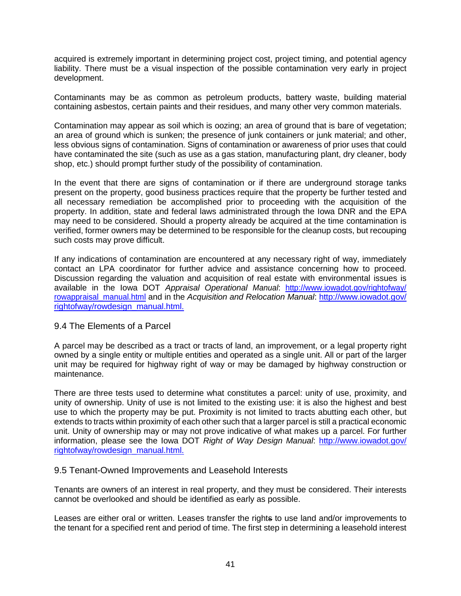acquired is extremely important in determining project cost, project timing, and potential agency liability. There must be a visual inspection of the possible contamination very early in project development.

Contaminants may be as common as petroleum products, battery waste, building material containing asbestos, certain paints and their residues, and many other very common materials.

Contamination may appear as soil which is oozing; an area of ground that is bare of vegetation; an area of ground which is sunken; the presence of junk containers or junk material; and other, less obvious signs of contamination. Signs of contamination or awareness of prior uses that could have contaminated the site (such as use as a gas station, manufacturing plant, dry cleaner, body shop, etc.) should prompt further study of the possibility of contamination.

In the event that there are signs of contamination or if there are underground storage tanks present on the property, good business practices require that the property be further tested and all necessary remediation be accomplished prior to proceeding with the acquisition of the property. In addition, state and federal laws administrated through the Iowa DNR and the EPA may need to be considered. Should a property already be acquired at the time contamination is verified, former owners may be determined to be responsible for the cleanup costs, but recouping such costs may prove difficult.

If any indications of contamination are encountered at any necessary right of way, immediately contact an LPA coordinator for further advice and assistance concerning how to proceed. Discussion regarding the valuation and acquisition of real estate with environmental issues is available in the Iowa DOT *Appraisal Operational Manual*: [http://www.iowadot.gov/rightofway/](http://www.iowadot.gov/rightofway/rowappraisal_manual.html) [rowappraisal\\_manual.html](http://www.iowadot.gov/rightofway/rowappraisal_manual.html) and in the *Acquisition and Relocation Manual*: [http://www.iowadot.gov/](http://www.iowadot.gov/rightofway/rowdesign_manual.html)  [rightofway/rowdesign\\_manual.html.](http://www.iowadot.gov/rightofway/rowdesign_manual.html)

## 9.4 The Elements of a Parcel

A parcel may be described as a tract or tracts of land, an improvement, or a legal property right owned by a single entity or multiple entities and operated as a single unit. All or part of the larger unit may be required for highway right of way or may be damaged by highway construction or maintenance.

There are three tests used to determine what constitutes a parcel: unity of use, proximity, and unity of ownership. Unity of use is not limited to the existing use: it is also the highest and best use to which the property may be put. Proximity is not limited to tracts abutting each other, but extends to tracts within proximity of each other such that a larger parcel is still a practical economic unit. Unity of ownership may or may not prove indicative of what makes up a parcel. For further information, please see the Iowa DOT *Right of Way Design Manual*: [http://www.iowadot.gov/](http://www.iowadot.gov/rightofway/rowdesign_manual.html)  [rightofway/rowdesign\\_manual.html.](http://www.iowadot.gov/rightofway/rowdesign_manual.html)

#### 9.5 Tenant-Owned Improvements and Leasehold Interests

Tenants are owners of an interest in real property, and they must be considered. Their interests cannot be overlooked and should be identified as early as possible.

Leases are either oral or written. Leases transfer the rights to use land and/or improvements to the tenant for a specified rent and period of time. The first step in determining a leasehold interest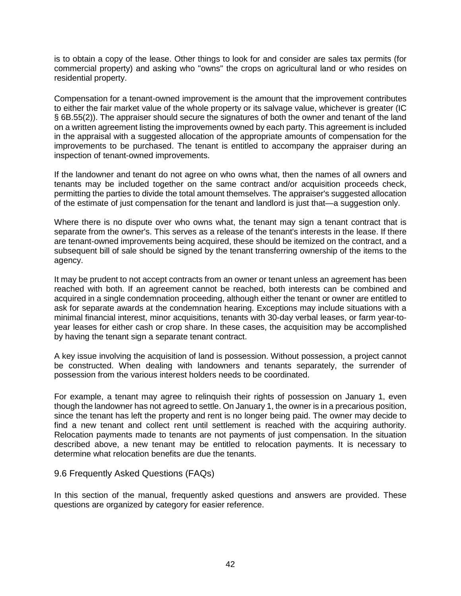is to obtain a copy of the lease. Other things to look for and consider are sales tax permits (for commercial property) and asking who "owns" the crops on agricultural land or who resides on residential property.

Compensation for a tenant-owned improvement is the amount that the improvement contributes to either the fair market value of the whole property or its salvage value, whichever is greater (IC § 6B.55(2)). The appraiser should secure the signatures of both the owner and tenant of the land on a written agreement listing the improvements owned by each party. This agreement is included in the appraisal with a suggested allocation of the appropriate amounts of compensation for the improvements to be purchased. The tenant is entitled to accompany the appraiser during an inspection of tenant-owned improvements.

If the landowner and tenant do not agree on who owns what, then the names of all owners and tenants may be included together on the same contract and/or acquisition proceeds check, permitting the parties to divide the total amount themselves. The appraiser's suggested allocation of the estimate of just compensation for the tenant and landlord is just that—a suggestion only.

Where there is no dispute over who owns what, the tenant may sign a tenant contract that is separate from the owner's. This serves as a release of the tenant's interests in the lease. If there are tenant-owned improvements being acquired, these should be itemized on the contract, and a subsequent bill of sale should be signed by the tenant transferring ownership of the items to the agency.

It may be prudent to not accept contracts from an owner or tenant unless an agreement has been reached with both. If an agreement cannot be reached, both interests can be combined and acquired in a single condemnation proceeding, although either the tenant or owner are entitled to ask for separate awards at the condemnation hearing. Exceptions may include situations with a minimal financial interest, minor acquisitions, tenants with 30-day verbal leases, or farm year-toyear leases for either cash or crop share. In these cases, the acquisition may be accomplished by having the tenant sign a separate tenant contract.

A key issue involving the acquisition of land is possession. Without possession, a project cannot be constructed. When dealing with landowners and tenants separately, the surrender of possession from the various interest holders needs to be coordinated.

For example, a tenant may agree to relinquish their rights of possession on January 1, even though the landowner has not agreed to settle. On January 1, the owner is in a precarious position, since the tenant has left the property and rent is no longer being paid. The owner may decide to find a new tenant and collect rent until settlement is reached with the acquiring authority. Relocation payments made to tenants are not payments of just compensation. In the situation described above, a new tenant may be entitled to relocation payments. It is necessary to determine what relocation benefits are due the tenants.

9.6 Frequently Asked Questions (FAQs)

In this section of the manual, frequently asked questions and answers are provided. These questions are organized by category for easier reference.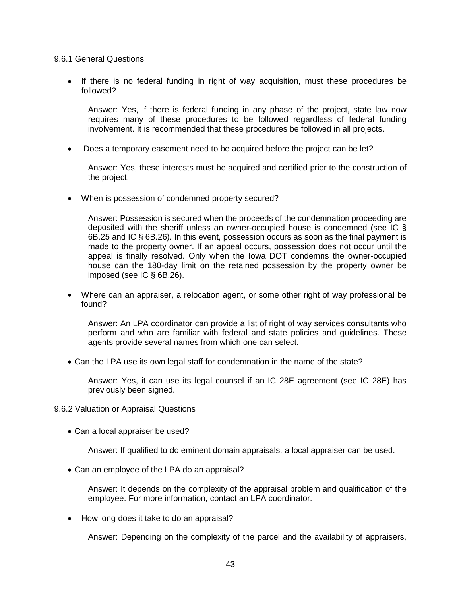9.6.1 General Questions

• If there is no federal funding in right of way acquisition, must these procedures be followed?

Answer: Yes, if there is federal funding in any phase of the project, state law now requires many of these procedures to be followed regardless of federal funding involvement. It is recommended that these procedures be followed in all projects.

• Does a temporary easement need to be acquired before the project can be let?

Answer: Yes, these interests must be acquired and certified prior to the construction of the project.

• When is possession of condemned property secured?

Answer: Possession is secured when the proceeds of the condemnation proceeding are deposited with the sheriff unless an owner-occupied house is condemned (see IC § 6B.25 and IC § 6B.26). In this event, possession occurs as soon as the final payment is made to the property owner. If an appeal occurs, possession does not occur until the appeal is finally resolved. Only when the Iowa DOT condemns the owner-occupied house can the 180-day limit on the retained possession by the property owner be imposed (see IC § 6B.26).

• Where can an appraiser, a relocation agent, or some other right of way professional be found?

Answer: An LPA coordinator can provide a list of right of way services consultants who perform and who are familiar with federal and state policies and guidelines. These agents provide several names from which one can select.

• Can the LPA use its own legal staff for condemnation in the name of the state?

Answer: Yes, it can use its legal counsel if an IC 28E agreement (see IC 28E) has previously been signed.

- 9.6.2 Valuation or Appraisal Questions
	- Can a local appraiser be used?

Answer: If qualified to do eminent domain appraisals, a local appraiser can be used.

• Can an employee of the LPA do an appraisal?

Answer: It depends on the complexity of the appraisal problem and qualification of the employee. For more information, contact an LPA coordinator.

• How long does it take to do an appraisal?

Answer: Depending on the complexity of the parcel and the availability of appraisers,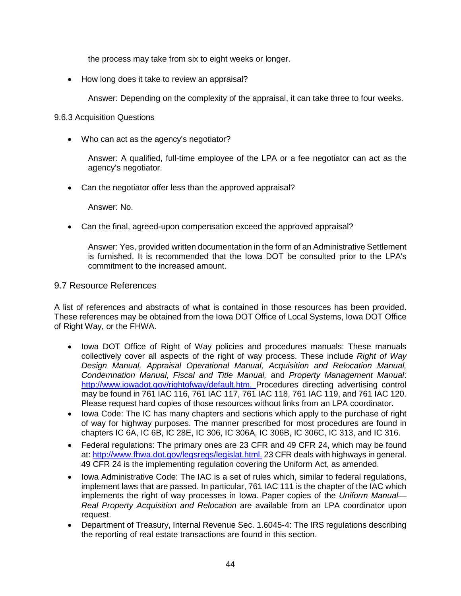the process may take from six to eight weeks or longer.

• How long does it take to review an appraisal?

Answer: Depending on the complexity of the appraisal, it can take three to four weeks.

## 9.6.3 Acquisition Questions

• Who can act as the agency's negotiator?

Answer: A qualified, full-time employee of the LPA or a fee negotiator can act as the agency's negotiator.

• Can the negotiator offer less than the approved appraisal?

Answer: No.

• Can the final, agreed-upon compensation exceed the approved appraisal?

Answer: Yes, provided written documentation in the form of an Administrative Settlement is furnished. It is recommended that the Iowa DOT be consulted prior to the LPA's commitment to the increased amount.

## 9.7 Resource References

A list of references and abstracts of what is contained in those resources has been provided. These references may be obtained from the Iowa DOT Office of Local Systems, Iowa DOT Office of Right Way, or the FHWA.

- Iowa DOT Office of Right of Way policies and procedures manuals: These manuals collectively cover all aspects of the right of way process. These include *Right of Way Design Manual, Appraisal Operational Manual, Acquisition and Relocation Manual, Condemnation Manual, Fiscal and Title Manual,* and *Property Management Manual*: [http://www.iowadot.gov/rightofway/default.htm.](http://www.dot.state.ia.us/rightofway/default.htm) Procedures directing advertising control may be found in 761 IAC 116, 761 IAC 117, 761 IAC 118, 761 IAC 119, and 761 IAC 120. Please request hard copies of those resources without links from an LPA coordinator.
- Iowa Code: The IC has many chapters and sections which apply to the purchase of right of way for highway purposes. The manner prescribed for most procedures are found in chapters IC 6A, IC 6B, IC 28E, IC 306, IC 306A, IC 306B, IC 306C, IC 313, and IC 316.
- Federal regulations: The primary ones are 23 CFR and 49 CFR 24, which may be found at: [http://www.fhwa.dot.gov/legsregs/legislat.html.](http://www.fhwa.dot.gov/legsregs/legislat.html) 23 CFR deals with highways in general. 49 CFR 24 is the implementing regulation covering the Uniform Act, as amended.
- Iowa Administrative Code: The IAC is a set of rules which, similar to federal regulations, implement laws that are passed. In particular, 761 IAC 111 is the chapter of the IAC which implements the right of way processes in Iowa. Paper copies of the *Uniform Manual— Real Property Acquisition and Relocation* are available from an LPA coordinator upon request.
- Department of Treasury, Internal Revenue Sec. 1.6045-4: The IRS regulations describing the reporting of real estate transactions are found in this section.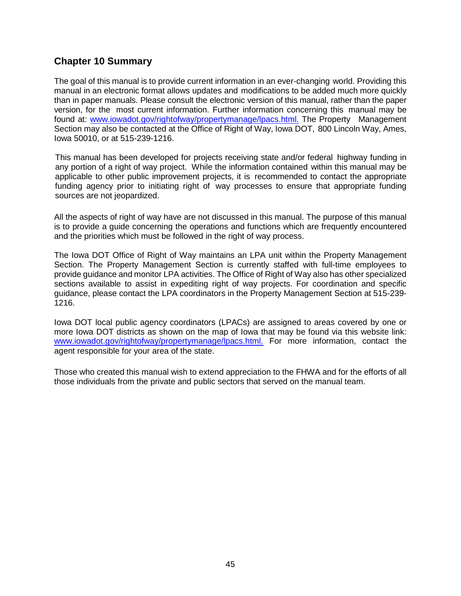## **Chapter 10 Summary**

The goal of this manual is to provide current information in an ever-changing world. Providing this manual in an electronic format allows updates and modifications to be added much more quickly than in paper manuals. Please consult the electronic version of this manual, rather than the paper version, for the most current information. Further information concerning this manual may be found at: [www.iowadot.gov/rightofway/propertymanage/lpacs.html.](http://www.iowadot.gov/rightofway/propertymanage/lpacs.html) The Property Management Section may also be contacted at the Office of Right of Way, Iowa DOT, 800 Lincoln Way, Ames, Iowa 50010, or at 515-239-1216.

This manual has been developed for projects receiving state and/or federal highway funding in any portion of a right of way project. While the information contained within this manual may be applicable to other public improvement projects, it is recommended to contact the appropriate funding agency prior to initiating right of way processes to ensure that appropriate funding sources are not jeopardized.

All the aspects of right of way have are not discussed in this manual. The purpose of this manual is to provide a guide concerning the operations and functions which are frequently encountered and the priorities which must be followed in the right of way process.

The Iowa DOT Office of Right of Way maintains an LPA unit within the Property Management Section. The Property Management Section is currently staffed with full-time employees to provide guidance and monitor LPA activities. The Office of Right of Way also has other specialized sections available to assist in expediting right of way projects. For coordination and specific guidance, please contact the LPA coordinators in the Property Management Section at 515-239- 1216.

Iowa DOT local public agency coordinators (LPACs) are assigned to areas covered by one or more Iowa DOT districts as shown on the map of Iowa that may be found via this website link: [www.iowadot.gov/rightofway/propertymanage/lpacs.html.](http://www.iowadot.gov/rightofway/propertymanage/lpacs.html) For more information, contact the agent responsible for your area of the state.

Those who created this manual wish to extend appreciation to the FHWA and for the efforts of all those individuals from the private and public sectors that served on the manual team.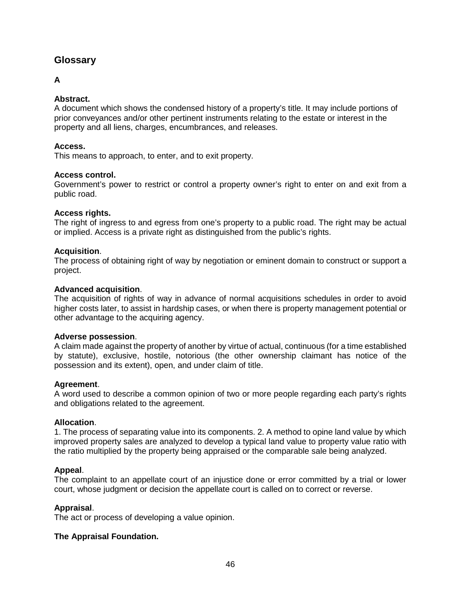## **Glossary**

## **A**

## **Abstract.**

A document which shows the condensed history of a property's title. It may include portions of prior conveyances and/or other pertinent instruments relating to the estate or interest in the property and all liens, charges, encumbrances, and releases.

#### **Access.**

This means to approach, to enter, and to exit property.

#### **Access control.**

Government's power to restrict or control a property owner's right to enter on and exit from a public road.

#### **Access rights.**

The right of ingress to and egress from one's property to a public road. The right may be actual or implied. Access is a private right as distinguished from the public's rights.

#### **Acquisition**.

The process of obtaining right of way by negotiation or eminent domain to construct or support a project.

#### **Advanced acquisition**.

The acquisition of rights of way in advance of normal acquisitions schedules in order to avoid higher costs later, to assist in hardship cases, or when there is property management potential or other advantage to the acquiring agency.

#### **Adverse possession**.

A claim made against the property of another by virtue of actual, continuous (for a time established by statute), exclusive, hostile, notorious (the other ownership claimant has notice of the possession and its extent), open, and under claim of title.

#### **Agreement**.

A word used to describe a common opinion of two or more people regarding each party's rights and obligations related to the agreement.

#### **Allocation**.

1. The process of separating value into its components. 2. A method to opine land value by which improved property sales are analyzed to develop a typical land value to property value ratio with the ratio multiplied by the property being appraised or the comparable sale being analyzed.

#### **Appeal**.

The complaint to an appellate court of an injustice done or error committed by a trial or lower court, whose judgment or decision the appellate court is called on to correct or reverse.

## **Appraisal**.

The act or process of developing a value opinion.

## **The Appraisal Foundation.**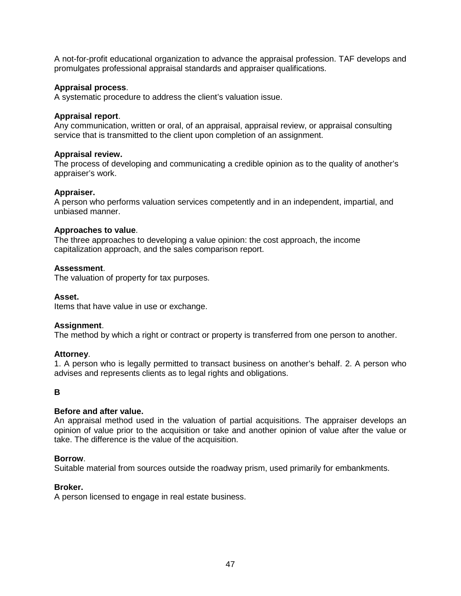A not-for-profit educational organization to advance the appraisal profession. TAF develops and promulgates professional appraisal standards and appraiser qualifications.

#### **Appraisal process**.

A systematic procedure to address the client's valuation issue.

#### **Appraisal report**.

Any communication, written or oral, of an appraisal, appraisal review, or appraisal consulting service that is transmitted to the client upon completion of an assignment.

#### **Appraisal review.**

The process of developing and communicating a credible opinion as to the quality of another's appraiser's work.

#### **Appraiser.**

A person who performs valuation services competently and in an independent, impartial, and unbiased manner.

#### **Approaches to value**.

The three approaches to developing a value opinion: the cost approach, the income capitalization approach, and the sales comparison report.

#### **Assessment**.

The valuation of property for tax purposes.

#### **Asset.**

Items that have value in use or exchange.

#### **Assignment**.

The method by which a right or contract or property is transferred from one person to another.

#### **Attorney**.

1. A person who is legally permitted to transact business on another's behalf. 2. A person who advises and represents clients as to legal rights and obligations.

**B**

#### **Before and after value.**

An appraisal method used in the valuation of partial acquisitions. The appraiser develops an opinion of value prior to the acquisition or take and another opinion of value after the value or take. The difference is the value of the acquisition.

## **Borrow**.

Suitable material from sources outside the roadway prism, used primarily for embankments.

#### **Broker.**

A person licensed to engage in real estate business.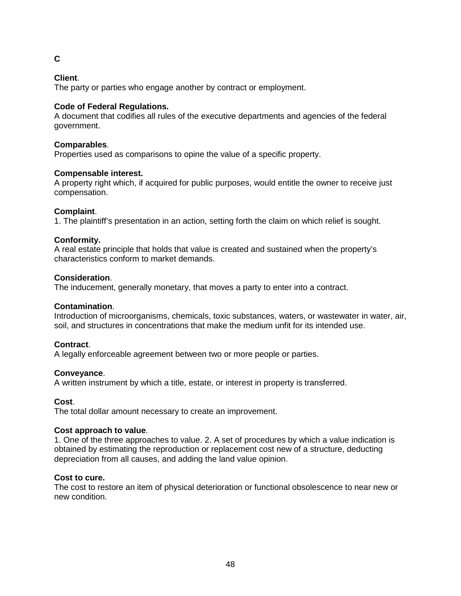## **C**

## **Client**.

The party or parties who engage another by contract or employment.

## **Code of Federal Regulations.**

A document that codifies all rules of the executive departments and agencies of the federal government.

## **Comparables**.

Properties used as comparisons to opine the value of a specific property.

## **Compensable interest.**

A property right which, if acquired for public purposes, would entitle the owner to receive just compensation.

## **Complaint**.

1. The plaintiff's presentation in an action, setting forth the claim on which relief is sought.

## **Conformity.**

A real estate principle that holds that value is created and sustained when the property's characteristics conform to market demands.

## **Consideration**.

The inducement, generally monetary, that moves a party to enter into a contract.

## **Contamination**.

Introduction of microorganisms, chemicals, toxic substances, waters, or wastewater in water, air, soil, and structures in concentrations that make the medium unfit for its intended use.

## **Contract**.

A legally enforceable agreement between two or more people or parties.

## **Conveyance**.

A written instrument by which a title, estate, or interest in property is transferred.

## **Cost**.

The total dollar amount necessary to create an improvement.

## **Cost approach to value**.

1. One of the three approaches to value. 2. A set of procedures by which a value indication is obtained by estimating the reproduction or replacement cost new of a structure, deducting depreciation from all causes, and adding the land value opinion.

## **Cost to cure.**

The cost to restore an item of physical deterioration or functional obsolescence to near new or new condition.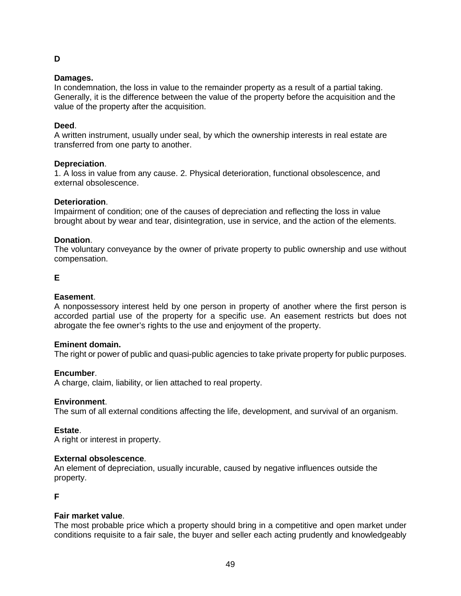## **Damages.**

**D**

In condemnation, the loss in value to the remainder property as a result of a partial taking. Generally, it is the difference between the value of the property before the acquisition and the value of the property after the acquisition.

#### **Deed**.

A written instrument, usually under seal, by which the ownership interests in real estate are transferred from one party to another.

#### **Depreciation**.

1. A loss in value from any cause. 2. Physical deterioration, functional obsolescence, and external obsolescence.

#### **Deterioration**.

Impairment of condition; one of the causes of depreciation and reflecting the loss in value brought about by wear and tear, disintegration, use in service, and the action of the elements.

#### **Donation**.

The voluntary conveyance by the owner of private property to public ownership and use without compensation.

## **E**

#### **Easement**.

A nonpossessory interest held by one person in property of another where the first person is accorded partial use of the property for a specific use. An easement restricts but does not abrogate the fee owner's rights to the use and enjoyment of the property.

#### **Eminent domain.**

The right or power of public and quasi-public agencies to take private property for public purposes.

#### **Encumber**.

A charge, claim, liability, or lien attached to real property.

#### **Environment**.

The sum of all external conditions affecting the life, development, and survival of an organism.

#### **Estate**.

A right or interest in property.

#### **External obsolescence**.

An element of depreciation, usually incurable, caused by negative influences outside the property.

**F**

## **Fair market value**.

The most probable price which a property should bring in a competitive and open market under conditions requisite to a fair sale, the buyer and seller each acting prudently and knowledgeably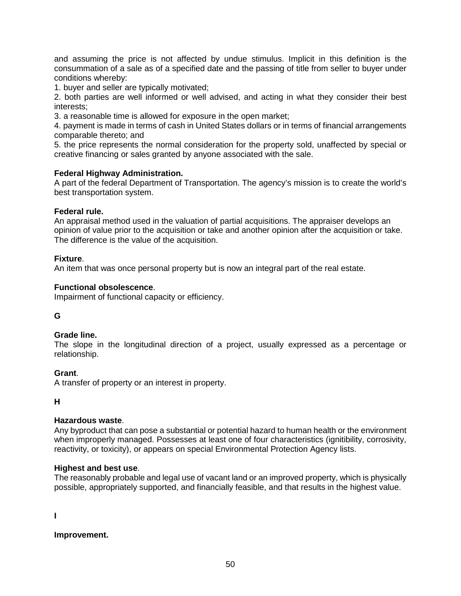and assuming the price is not affected by undue stimulus. Implicit in this definition is the consummation of a sale as of a specified date and the passing of title from seller to buyer under conditions whereby:

1. buyer and seller are typically motivated;

2. both parties are well informed or well advised, and acting in what they consider their best interests;

3. a reasonable time is allowed for exposure in the open market;

4. payment is made in terms of cash in United States dollars or in terms of financial arrangements comparable thereto; and

5. the price represents the normal consideration for the property sold, unaffected by special or creative financing or sales granted by anyone associated with the sale.

#### **Federal Highway Administration.**

A part of the federal Department of Transportation. The agency's mission is to create the world's best transportation system.

#### **Federal rule.**

An appraisal method used in the valuation of partial acquisitions. The appraiser develops an opinion of value prior to the acquisition or take and another opinion after the acquisition or take. The difference is the value of the acquisition.

#### **Fixture**.

An item that was once personal property but is now an integral part of the real estate.

#### **Functional obsolescence**.

Impairment of functional capacity or efficiency.

## **G**

#### **Grade line.**

The slope in the longitudinal direction of a project, usually expressed as a percentage or relationship.

## **Grant**.

A transfer of property or an interest in property.

#### **H**

## **Hazardous waste**.

Any byproduct that can pose a substantial or potential hazard to human health or the environment when improperly managed. Possesses at least one of four characteristics (ignitibility, corrosivity, reactivity, or toxicity), or appears on special Environmental Protection Agency lists.

#### **Highest and best use**.

The reasonably probable and legal use of vacant land or an improved property, which is physically possible, appropriately supported, and financially feasible, and that results in the highest value.

**I**

**Improvement.**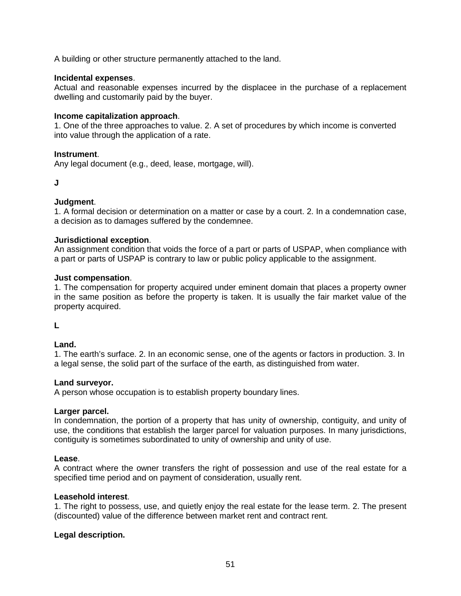A building or other structure permanently attached to the land.

#### **Incidental expenses**.

Actual and reasonable expenses incurred by the displacee in the purchase of a replacement dwelling and customarily paid by the buyer.

#### **Income capitalization approach**.

1. One of the three approaches to value. 2. A set of procedures by which income is converted into value through the application of a rate.

#### **Instrument**.

Any legal document (e.g., deed, lease, mortgage, will).

#### **J**

#### **Judgment**.

1. A formal decision or determination on a matter or case by a court. 2. In a condemnation case, a decision as to damages suffered by the condemnee.

#### **Jurisdictional exception**.

An assignment condition that voids the force of a part or parts of USPAP, when compliance with a part or parts of USPAP is contrary to law or public policy applicable to the assignment.

#### **Just compensation**.

1. The compensation for property acquired under eminent domain that places a property owner in the same position as before the property is taken. It is usually the fair market value of the property acquired.

**L**

## **Land.**

1. The earth's surface. 2. In an economic sense, one of the agents or factors in production. 3. In a legal sense, the solid part of the surface of the earth, as distinguished from water.

#### **Land surveyor.**

A person whose occupation is to establish property boundary lines.

#### **Larger parcel.**

In condemnation, the portion of a property that has unity of ownership, contiguity, and unity of use, the conditions that establish the larger parcel for valuation purposes. In many jurisdictions, contiguity is sometimes subordinated to unity of ownership and unity of use.

#### **Lease**.

A contract where the owner transfers the right of possession and use of the real estate for a specified time period and on payment of consideration, usually rent.

## **Leasehold interest**.

1. The right to possess, use, and quietly enjoy the real estate for the lease term. 2. The present (discounted) value of the difference between market rent and contract rent.

#### **Legal description.**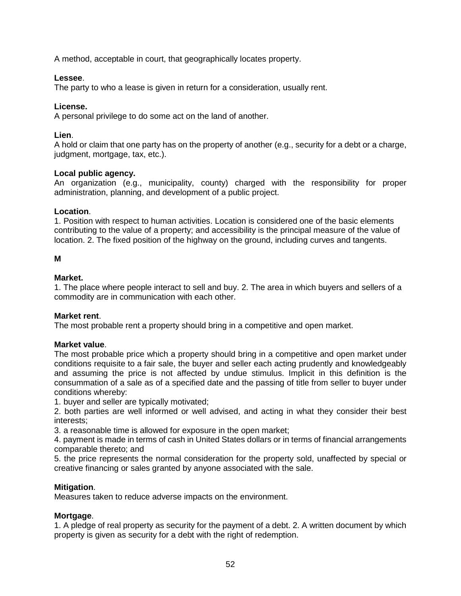A method, acceptable in court, that geographically locates property.

## **Lessee**.

The party to who a lease is given in return for a consideration, usually rent.

## **License.**

A personal privilege to do some act on the land of another.

## **Lien**.

A hold or claim that one party has on the property of another (e.g., security for a debt or a charge, judgment, mortgage, tax, etc.).

## **Local public agency.**

An organization (e.g., municipality, county) charged with the responsibility for proper administration, planning, and development of a public project.

## **Location**.

1. Position with respect to human activities. Location is considered one of the basic elements contributing to the value of a property; and accessibility is the principal measure of the value of location. 2. The fixed position of the highway on the ground, including curves and tangents.

## **M**

## **Market.**

1. The place where people interact to sell and buy. 2. The area in which buyers and sellers of a commodity are in communication with each other.

## **Market rent**.

The most probable rent a property should bring in a competitive and open market.

## **Market value**.

The most probable price which a property should bring in a competitive and open market under conditions requisite to a fair sale, the buyer and seller each acting prudently and knowledgeably and assuming the price is not affected by undue stimulus. Implicit in this definition is the consummation of a sale as of a specified date and the passing of title from seller to buyer under conditions whereby:

1. buyer and seller are typically motivated;

2. both parties are well informed or well advised, and acting in what they consider their best interests;

3. a reasonable time is allowed for exposure in the open market;

4. payment is made in terms of cash in United States dollars or in terms of financial arrangements comparable thereto; and

5. the price represents the normal consideration for the property sold, unaffected by special or creative financing or sales granted by anyone associated with the sale.

## **Mitigation**.

Measures taken to reduce adverse impacts on the environment.

## **Mortgage**.

1. A pledge of real property as security for the payment of a debt. 2. A written document by which property is given as security for a debt with the right of redemption.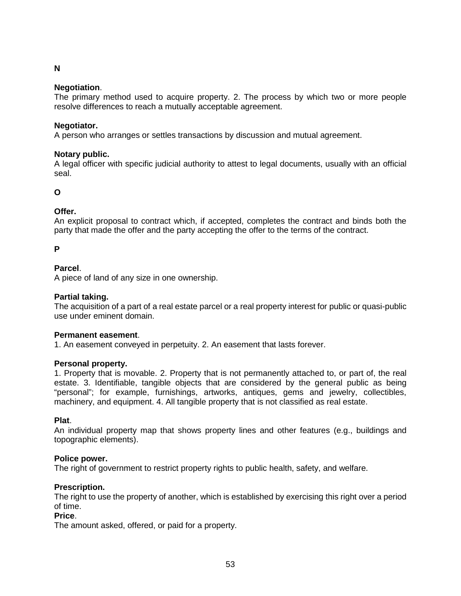## **N**

#### **Negotiation**.

The primary method used to acquire property. 2. The process by which two or more people resolve differences to reach a mutually acceptable agreement.

#### **Negotiator.**

A person who arranges or settles transactions by discussion and mutual agreement.

#### **Notary public.**

A legal officer with specific judicial authority to attest to legal documents, usually with an official seal.

## **O**

## **Offer.**

An explicit proposal to contract which, if accepted, completes the contract and binds both the party that made the offer and the party accepting the offer to the terms of the contract.

#### **P**

## **Parcel**.

A piece of land of any size in one ownership.

#### **Partial taking.**

The acquisition of a part of a real estate parcel or a real property interest for public or quasi-public use under eminent domain.

#### **Permanent easement**.

1. An easement conveyed in perpetuity. 2. An easement that lasts forever.

#### **Personal property.**

1. Property that is movable. 2. Property that is not permanently attached to, or part of, the real estate. 3. Identifiable, tangible objects that are considered by the general public as being "personal"; for example, furnishings, artworks, antiques, gems and jewelry, collectibles, machinery, and equipment. 4. All tangible property that is not classified as real estate.

#### **Plat**.

An individual property map that shows property lines and other features (e.g., buildings and topographic elements).

## **Police power.**

The right of government to restrict property rights to public health, safety, and welfare.

## **Prescription.**

The right to use the property of another, which is established by exercising this right over a period of time.

#### **Price**.

The amount asked, offered, or paid for a property.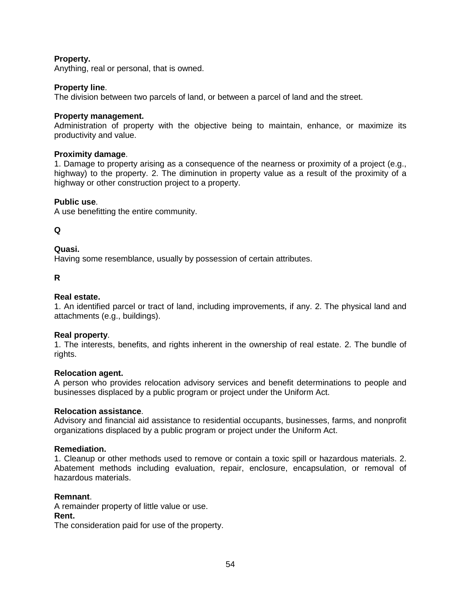## **Property.**

Anything, real or personal, that is owned.

#### **Property line**.

The division between two parcels of land, or between a parcel of land and the street.

#### **Property management.**

Administration of property with the objective being to maintain, enhance, or maximize its productivity and value.

#### **Proximity damage**.

1. Damage to property arising as a consequence of the nearness or proximity of a project (e.g., highway) to the property. 2. The diminution in property value as a result of the proximity of a highway or other construction project to a property.

#### **Public use**.

A use benefitting the entire community.

#### **Q**

#### **Quasi.**

Having some resemblance, usually by possession of certain attributes.

## **R**

#### **Real estate.**

1. An identified parcel or tract of land, including improvements, if any. 2. The physical land and attachments (e.g., buildings).

#### **Real property**.

1. The interests, benefits, and rights inherent in the ownership of real estate. 2. The bundle of rights.

#### **Relocation agent.**

A person who provides relocation advisory services and benefit determinations to people and businesses displaced by a public program or project under the Uniform Act.

#### **Relocation assistance**.

Advisory and financial aid assistance to residential occupants, businesses, farms, and nonprofit organizations displaced by a public program or project under the Uniform Act.

#### **Remediation.**

1. Cleanup or other methods used to remove or contain a toxic spill or hazardous materials. 2. Abatement methods including evaluation, repair, enclosure, encapsulation, or removal of hazardous materials.

#### **Remnant**.

A remainder property of little value or use. **Rent.**

The consideration paid for use of the property.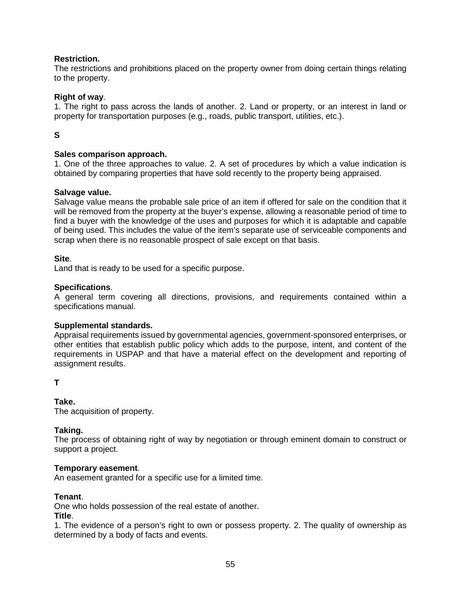## **Restriction.**

The restrictions and prohibitions placed on the property owner from doing certain things relating to the property.

#### **Right of way**.

1. The right to pass across the lands of another. 2. Land or property, or an interest in land or property for transportation purposes (e.g., roads, public transport, utilities, etc.).

## **S**

## **Sales comparison approach.**

1. One of the three approaches to value. 2. A set of procedures by which a value indication is obtained by comparing properties that have sold recently to the property being appraised.

#### **Salvage value.**

Salvage value means the probable sale price of an item if offered for sale on the condition that it will be removed from the property at the buyer's expense, allowing a reasonable period of time to find a buyer with the knowledge of the uses and purposes for which it is adaptable and capable of being used. This includes the value of the item's separate use of serviceable components and scrap when there is no reasonable prospect of sale except on that basis.

#### **Site**.

Land that is ready to be used for a specific purpose.

#### **Specifications**.

A general term covering all directions, provisions, and requirements contained within a specifications manual.

#### **Supplemental standards.**

Appraisal requirements issued by governmental agencies, government-sponsored enterprises, or other entities that establish public policy which adds to the purpose, intent, and content of the requirements in USPAP and that have a material effect on the development and reporting of assignment results.

#### **T**

## **Take.**

The acquisition of property.

## **Taking.**

The process of obtaining right of way by negotiation or through eminent domain to construct or support a project.

#### **Temporary easement**.

An easement granted for a specific use for a limited time.

## **Tenant**.

One who holds possession of the real estate of another.

#### **Title**.

1. The evidence of a person's right to own or possess property. 2. The quality of ownership as determined by a body of facts and events.